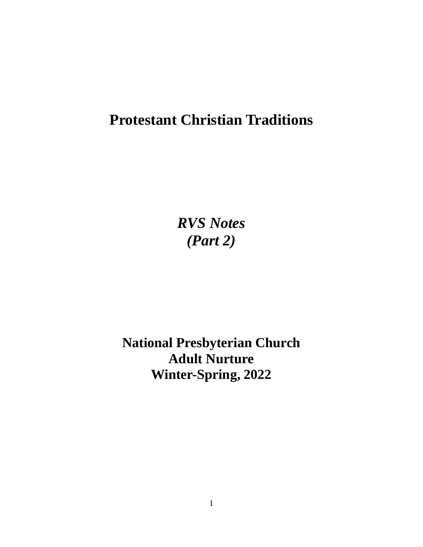# **Protestant Christian Traditions**

*RVS Notes (Part 2)*

**National Presbyterian Church Adult Nurture Winter-Spring, 2022**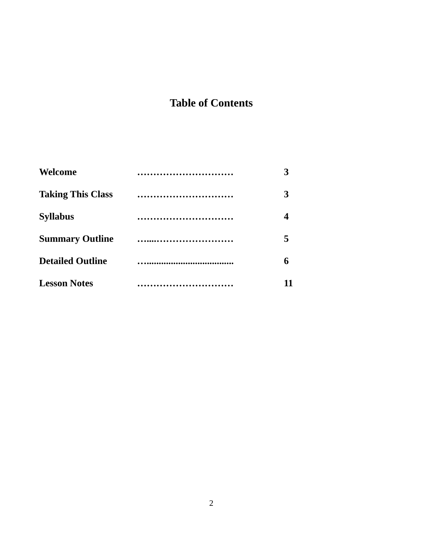## **Table of Contents**

| Welcome                  | 3 |
|--------------------------|---|
| <b>Taking This Class</b> | 3 |
| <b>Syllabus</b>          | 4 |
| <b>Summary Outline</b>   | 5 |
| <b>Detailed Outline</b>  | 6 |
| <b>Lesson Notes</b>      |   |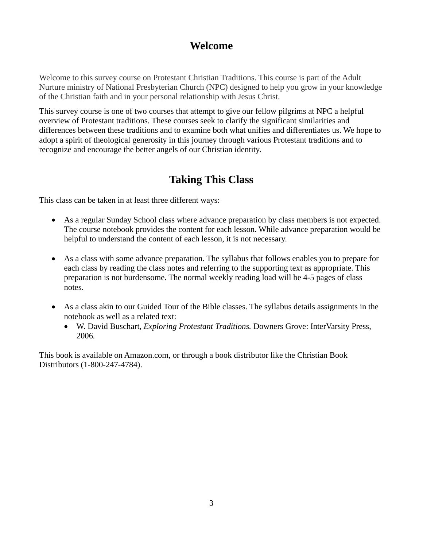## **Welcome**

Welcome to this survey course on Protestant Christian Traditions. This course is part of the Adult Nurture ministry of National Presbyterian Church (NPC) designed to help you grow in your knowledge of the Christian faith and in your personal relationship with Jesus Christ.

This survey course is one of two courses that attempt to give our fellow pilgrims at NPC a helpful overview of Protestant traditions. These courses seek to clarify the significant similarities and differences between these traditions and to examine both what unifies and differentiates us. We hope to adopt a spirit of theological generosity in this journey through various Protestant traditions and to recognize and encourage the better angels of our Christian identity.

## **Taking This Class**

This class can be taken in at least three different ways:

- As a regular Sunday School class where advance preparation by class members is not expected. The course notebook provides the content for each lesson. While advance preparation would be helpful to understand the content of each lesson, it is not necessary.
- As a class with some advance preparation. The syllabus that follows enables you to prepare for each class by reading the class notes and referring to the supporting text as appropriate. This preparation is not burdensome. The normal weekly reading load will be 4-5 pages of class notes.
- As a class akin to our Guided Tour of the Bible classes. The syllabus details assignments in the notebook as well as a related text:
	- W. David Buschart, *Exploring Protestant Traditions.* Downers Grove: InterVarsity Press, 2006*.*

This book is available on Amazon.com, or through a book distributor like the Christian Book Distributors (1-800-247-4784).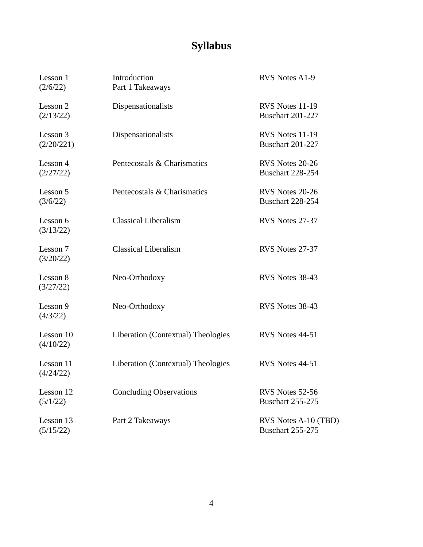# **Syllabus**

| Lesson 1<br>(2/6/22)   | Introduction<br>Part 1 Takeaways   | RVS Notes A1-9                                  |
|------------------------|------------------------------------|-------------------------------------------------|
| Lesson 2<br>(2/13/22)  | Dispensationalists                 | RVS Notes 11-19<br><b>Buschart 201-227</b>      |
| Lesson 3<br>(2/20/221) | Dispensationalists                 | RVS Notes 11-19<br><b>Buschart 201-227</b>      |
| Lesson 4<br>(2/27/22)  | Pentecostals & Charismatics        | RVS Notes 20-26<br><b>Buschart 228-254</b>      |
| Lesson 5<br>(3/6/22)   | Pentecostals & Charismatics        | RVS Notes 20-26<br><b>Buschart 228-254</b>      |
| Lesson 6<br>(3/13/22)  | <b>Classical Liberalism</b>        | RVS Notes 27-37                                 |
| Lesson 7<br>(3/20/22)  | <b>Classical Liberalism</b>        | RVS Notes 27-37                                 |
| Lesson 8<br>(3/27/22)  | Neo-Orthodoxy                      | RVS Notes 38-43                                 |
| Lesson 9<br>(4/3/22)   | Neo-Orthodoxy                      | RVS Notes 38-43                                 |
| Lesson 10<br>(4/10/22) | Liberation (Contextual) Theologies | RVS Notes 44-51                                 |
| Lesson 11<br>(4/24/22) | Liberation (Contextual) Theologies | RVS Notes 44-51                                 |
| Lesson 12<br>(5/1/22)  | <b>Concluding Observations</b>     | RVS Notes 52-56<br><b>Buschart 255-275</b>      |
| Lesson 13<br>(5/15/22) | Part 2 Takeaways                   | RVS Notes A-10 (TBD)<br><b>Buschart 255-275</b> |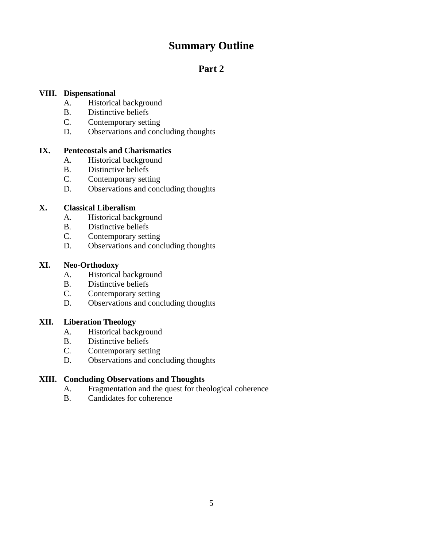## **Summary Outline**

## **Part 2**

#### **VIII. Dispensational**

- A. Historical background
- B. Distinctive beliefs<br>C. Contemporary sett.
- Contemporary setting
- D. Observations and concluding thoughts

#### **IX. Pentecostals and Charismatics**

- A. Historical background
- B. Distinctive beliefs<br>C. Contemporary sett.
- Contemporary setting
- D. Observations and concluding thoughts

#### **X. Classical Liberalism**

- A. Historical background
- B. Distinctive beliefs
- C. Contemporary setting
- D. Observations and concluding thoughts

#### **XI. Neo-Orthodoxy**

- A. Historical background
- B. Distinctive beliefs
- C. Contemporary setting
- D. Observations and concluding thoughts

#### **XII. Liberation Theology**

- A. Historical background
- B. Distinctive beliefs<br>C. Contemporary setti
- Contemporary setting
- D. Observations and concluding thoughts

#### **XIII. Concluding Observations and Thoughts**

- A. Fragmentation and the quest for theological coherence
- B. Candidates for coherence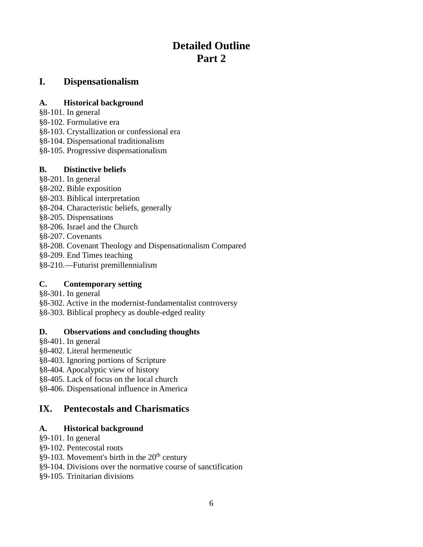## **Detailed Outline Part 2**

#### **I. Dispensationalism**

#### **A. Historical background**

- §8-101. In general
- §8-102. Formulative era
- §8-103. Crystallization or confessional era
- §8-104. Dispensational traditionalism
- §8-105. Progressive dispensationalism

#### **B. Distinctive beliefs**

- §8-201. In general §8-202. Bible exposition §8-203. Biblical interpretation §8-204. Characteristic beliefs, generally §8-205. Dispensations §8-206. Israel and the Church §8-207. Covenants §8-208. Covenant Theology and Dispensationalism Compared §8-209. End Times teaching
- §8-210.—Futurist premillennialism

#### **C. Contemporary setting**

- §8-301. In general
- §8-302. Active in the modernist-fundamentalist controversy
- §8-303. Biblical prophecy as double-edged reality

#### **D. Observations and concluding thoughts**

- §8-401. In general
- §8-402. Literal hermeneutic
- §8-403. Ignoring portions of Scripture
- §8-404. Apocalyptic view of history
- §8-405. Lack of focus on the local church
- §8-406. Dispensational influence in America

## **IX. Pentecostals and Charismatics**

#### **A. Historical background**

- §9-101. In general
- §9-102. Pentecostal roots
- $\S$ 9-103. Movement's birth in the 20<sup>th</sup> century
- §9-104. Divisions over the normative course of sanctification
- §9-105. Trinitarian divisions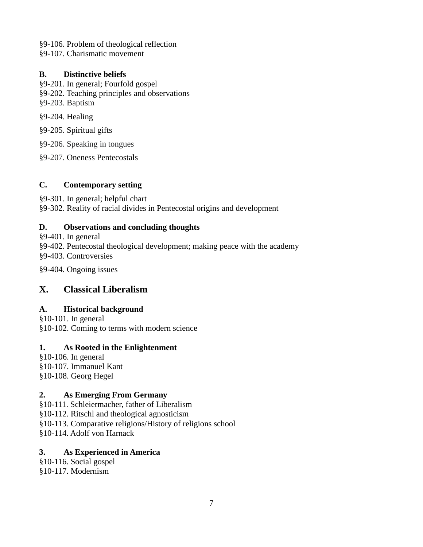§9-106. Problem of theological reflection

§9-107. Charismatic movement

#### **B. Distinctive beliefs**

- §9-201. In general; Fourfold gospel
- §9-202. Teaching principles and observations
- §9-203. Baptism
- §9-204. Healing

§9-205. Spiritual gifts

§9-206. Speaking in tongues

§9-207. Oneness Pentecostals

## **C. Contemporary setting**

§9-301. In general; helpful chart §9-302. Reality of racial divides in Pentecostal origins and development

## **D. Observations and concluding thoughts**

§9-401. In general

§9-402. Pentecostal theological development; making peace with the academy §9-403. Controversies

§9-404. Ongoing issues

## **X. Classical Liberalism**

## **A. Historical background**

§10-101. In general §10-102. Coming to terms with modern science

## **1. As Rooted in the Enlightenment**

§10-106. In general §10-107. Immanuel Kant §10-108. Georg Hegel

## **2. As Emerging From Germany**

§10-111. Schleiermacher, father of Liberalism §10-112. Ritschl and theological agnosticism §10-113. Comparative religions/History of religions school §10-114. Adolf von Harnack

## **3. As Experienced in America**

§10-116. Social gospel §10-117. Modernism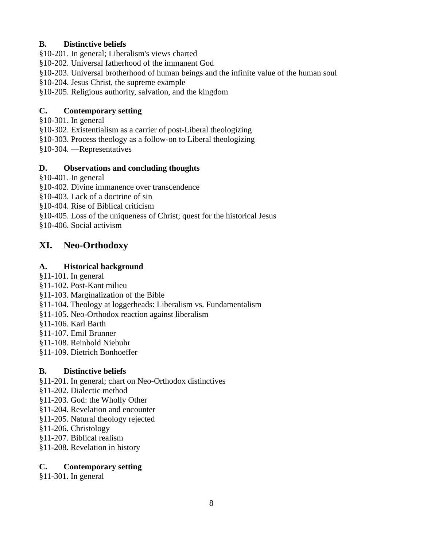#### **B. Distinctive beliefs**

§10-201. In general; Liberalism's views charted

§10-202. Universal fatherhood of the immanent God

§10-203. Universal brotherhood of human beings and the infinite value of the human soul

§10-204. Jesus Christ, the supreme example

§10-205. Religious authority, salvation, and the kingdom

#### **C. Contemporary setting**

§10-301. In general

§10-302. Existentialism as a carrier of post-Liberal theologizing

§10-303. Process theology as a follow-on to Liberal theologizing

§10-304. —Representatives

#### **D. Observations and concluding thoughts**

§10-401. In general

§10-402. Divine immanence over transcendence

§10-403. Lack of a doctrine of sin

§10-404. Rise of Biblical criticism

§10-405. Loss of the uniqueness of Christ; quest for the historical Jesus

§10-406. Social activism

## **XI. Neo-Orthodoxy**

#### **A. Historical background**

§11-101. In general

- §11-102. Post-Kant milieu
- §11-103. Marginalization of the Bible
- §11-104. Theology at loggerheads: Liberalism vs. Fundamentalism
- §11-105. Neo-Orthodox reaction against liberalism
- §11-106. Karl Barth
- §11-107. Emil Brunner
- §11-108. Reinhold Niebuhr
- §11-109. Dietrich Bonhoeffer

#### **B. Distinctive beliefs**

§11-201. In general; chart on Neo-Orthodox distinctives

- §11-202. Dialectic method
- §11-203. God: the Wholly Other
- §11-204. Revelation and encounter
- §11-205. Natural theology rejected
- §11-206. Christology
- §11-207. Biblical realism
- §11-208. Revelation in history

#### **C. Contemporary setting**

§11-301. In general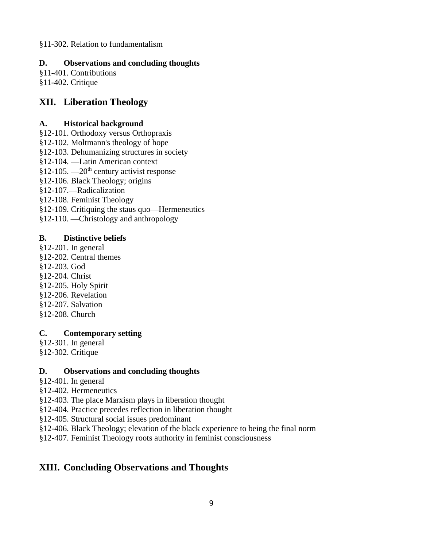§11-302. Relation to fundamentalism

#### **D. Observations and concluding thoughts**

§11-401. Contributions §11-402. Critique

#### **XII. Liberation Theology**

#### **A. Historical background**

- §12-101. Orthodoxy versus Orthopraxis
- §12-102. Moltmann's theology of hope
- §12-103. Dehumanizing structures in society
- §12-104. —Latin American context
- $§12-105$ . —20<sup>th</sup> century activist response
- §12-106. Black Theology; origins
- §12-107.—Radicalization
- §12-108. Feminist Theology
- §12-109. Critiquing the staus quo—Hermeneutics
- §12-110. —Christology and anthropology

#### **B. Distinctive beliefs**

§12-201. In general §12-202. Central themes §12-203. God §12-204. Christ §12-205. Holy Spirit §12-206. Revelation §12-207. Salvation §12-208. Church

#### **C. Contemporary setting**

§12-301. In general §12-302. Critique

#### **D. Observations and concluding thoughts**

- §12-401. In general
- §12-402. Hermeneutics
- §12-403. The place Marxism plays in liberation thought
- §12-404. Practice precedes reflection in liberation thought
- §12-405. Structural social issues predominant
- §12-406. Black Theology; elevation of the black experience to being the final norm
- §12-407. Feminist Theology roots authority in feminist consciousness

## **XIII. Concluding Observations and Thoughts**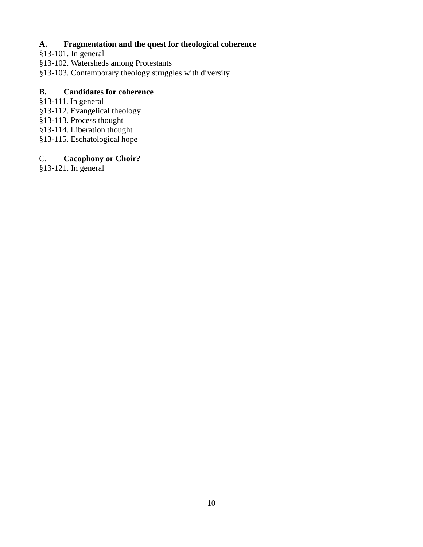#### **A. Fragmentation and the quest for theological coherence**

- §13-101. In general
- §13-102. Watersheds among Protestants
- §13-103. Contemporary theology struggles with diversity

#### **B. Candidates for coherence**

- §13-111. In general
- §13-112. Evangelical theology
- §13-113. Process thought
- §13-114. Liberation thought
- §13-115. Eschatological hope

#### C. **Cacophony or Choir?**

§13-121. In general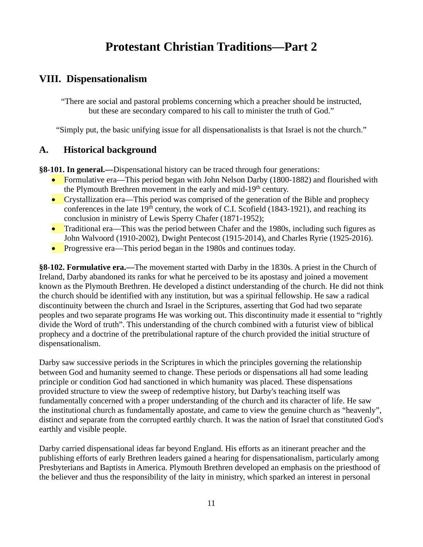## **Protestant Christian Traditions—Part 2**

## **VIII. Dispensationalism**

"There are social and pastoral problems concerning which a preacher should be instructed, but these are secondary compared to his call to minister the truth of God."

"Simply put, the basic unifying issue for all dispensationalists is that Israel is not the church."

#### **A. Historical background**

**§8-101. In general.—**Dispensational history can be traced through four generations:

- Formulative era—This period began with John Nelson Darby (1800-1882) and flourished with the Plymouth Brethren movement in the early and mid-19<sup>th</sup> century.
- Crystallization era—This period was comprised of the generation of the Bible and prophecy conferences in the late  $19<sup>th</sup>$  century, the work of C.I. Scofield (1843-1921), and reaching its conclusion in ministry of Lewis Sperry Chafer (1871-1952);
- Traditional era—This was the period between Chafer and the 1980s, including such figures as John Walvoord (1910-2002), Dwight Pentecost (1915-2014), and Charles Ryrie (1925-2016).
- Progressive era—This period began in the 1980s and continues today.

**§8-102. Formulative era.—**The movement started with Darby in the 1830s. A priest in the Church of Ireland, Darby abandoned its ranks for what he perceived to be its apostasy and joined a movement known as the Plymouth Brethren. He developed a distinct understanding of the church. He did not think the church should be identified with any institution, but was a spiritual fellowship. He saw a radical discontinuity between the church and Israel in the Scriptures, asserting that God had two separate peoples and two separate programs He was working out. This discontinuity made it essential to "rightly divide the Word of truth". This understanding of the church combined with a futurist view of biblical prophecy and a doctrine of the pretribulational rapture of the church provided the initial structure of dispensationalism.

Darby saw successive periods in the Scriptures in which the principles governing the relationship between God and humanity seemed to change. These periods or dispensations all had some leading principle or condition God had sanctioned in which humanity was placed. These dispensations provided structure to view the sweep of redemptive history, but Darby's teaching itself was fundamentally concerned with a proper understanding of the church and its character of life. He saw the institutional church as fundamentally apostate, and came to view the genuine church as "heavenly", distinct and separate from the corrupted earthly church. It was the nation of Israel that constituted God's earthly and visible people.

Darby carried dispensational ideas far beyond England. His efforts as an itinerant preacher and the publishing efforts of early Brethren leaders gained a hearing for dispensationalism, particularly among Presbyterians and Baptists in America. Plymouth Brethren developed an emphasis on the priesthood of the believer and thus the responsibility of the laity in ministry, which sparked an interest in personal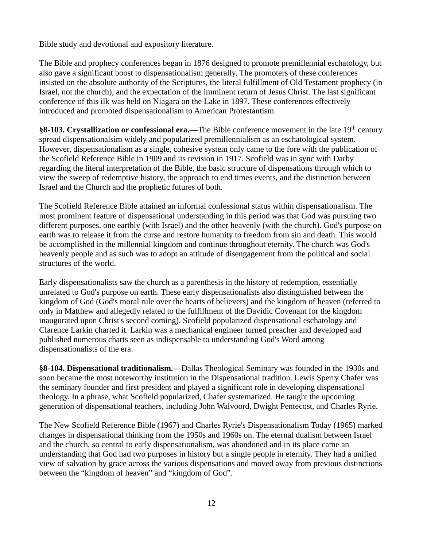Bible study and devotional and expository literature.

The Bible and prophecy conferences began in 1876 designed to promote premillennial eschatology, but also gave a significant boost to dispensationalism generally. The promoters of these conferences insisted on the absolute authority of the Scriptures, the literal fulfillment of Old Testament prophecy (in Israel, not the church), and the expectation of the imminent return of Jesus Christ. The last significant conference of this ilk was held on Niagara on the Lake in 1897. These conferences effectively introduced and promoted dispensationalism to American Protestantism.

§8-103. Crystallization or confessional era.—The Bible conference movement in the late 19<sup>th</sup> century spread dispensationalsim widely and popularized premillennialism as an eschatological system. However, dispensationalism as a single, cohesive system only came to the fore with the publication of the Scofield Reference Bible in 1909 and its revision in 1917. Scofield was in sync with Darby regarding the literal interpretation of the Bible, the basic structure of dispensations through which to view the sweep of redemptive history, the approach to end times events, and the distinction between Israel and the Church and the prophetic futures of both.

The Scofield Reference Bible attained an informal confessional status within dispensationalism. The most prominent feature of dispensational understanding in this period was that God was pursuing two different purposes, one earthly (with Israel) and the other heavenly (with the church). God's purpose on earth was to release it from the curse and restore humanity to freedom from sin and death. This would be accomplished in the millennial kingdom and continue throughout eternity. The church was God's heavenly people and as such was to adopt an attitude of disengagement from the political and social structures of the world.

Early dispensationalists saw the church as a parenthesis in the history of redemption, essentially unrelated to God's purpose on earth. These early dispensationalists also distinguished between the kingdom of God (God's moral rule over the hearts of believers) and the kingdom of heaven (referred to only in Matthew and allegedly related to the fulfillment of the Davidic Covenant for the kingdom inaugurated upon Christ's second coming). Scofield popularized dispensational eschatology and Clarence Larkin charted it. Larkin was a mechanical engineer turned preacher and developed and published numerous charts seen as indispensable to understanding God's Word among dispensationalists of the era.

**§8-104. Dispensational traditionalism.—**Dallas Theological Seminary was founded in the 1930s and soon became the most noteworthy institution in the Dispensational tradition. Lewis Sperry Chafer was the seminary founder and first president and played a significant role in developing dispensational theology. In a phrase, what Scofield popularized, Chafer systematized. He taught the upcoming generation of dispensational teachers, including John Walvoord, Dwight Pentecost, and Charles Ryrie.

The New Scofield Reference Bible (1967) and Charles Ryrie's Dispensationalism Today (1965) marked changes in dispensational thinking from the 1950s and 1960s on. The eternal dualism between Israel and the church, so central to early dispensationalism, was abandoned and in its place came an understanding that God had two purposes in history but a single people in eternity. They had a unified view of salvation by grace across the various dispensations and moved away from previous distinctions between the "kingdom of heaven" and "kingdom of God".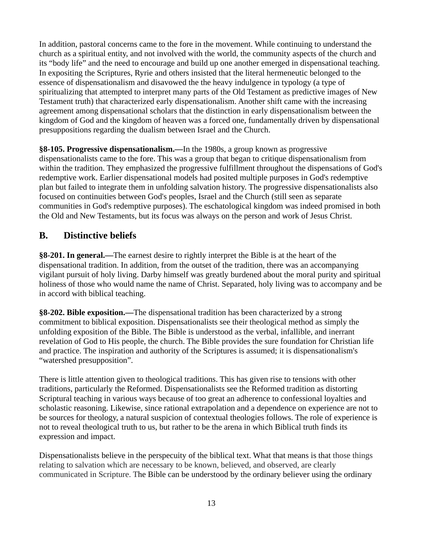In addition, pastoral concerns came to the fore in the movement. While continuing to understand the church as a spiritual entity, and not involved with the world, the community aspects of the church and its "body life" and the need to encourage and build up one another emerged in dispensational teaching. In expositing the Scriptures, Ryrie and others insisted that the literal hermeneutic belonged to the essence of dispensationalism and disavowed the the heavy indulgence in typology (a type of spiritualizing that attempted to interpret many parts of the Old Testament as predictive images of New Testament truth) that characterized early dispensationalism. Another shift came with the increasing agreement among dispensational scholars that the distinction in early dispensationalism between the kingdom of God and the kingdom of heaven was a forced one, fundamentally driven by dispensational presuppositions regarding the dualism between Israel and the Church.

**§8-105. Progressive dispensationalism.—**In the 1980s, a group known as progressive dispensationalists came to the fore. This was a group that began to critique dispensationalism from within the tradition. They emphasized the progressive fulfillment throughout the dispensations of God's redemptive work. Earlier dispensational models had posited multiple purposes in God's redemptive plan but failed to integrate them in unfolding salvation history. The progressive dispensationalists also focused on continuities between God's peoples, Israel and the Church (still seen as separate communities in God's redemptive purposes). The eschatological kingdom was indeed promised in both the Old and New Testaments, but its focus was always on the person and work of Jesus Christ.

#### **B. Distinctive beliefs**

**§8-201. In general.—**The earnest desire to rightly interpret the Bible is at the heart of the dispensational tradition. In addition, from the outset of the tradition, there was an accompanying vigilant pursuit of holy living. Darby himself was greatly burdened about the moral purity and spiritual holiness of those who would name the name of Christ. Separated, holy living was to accompany and be in accord with biblical teaching.

**§8-202. Bible exposition.—**The dispensational tradition has been characterized by a strong commitment to biblical exposition. Dispensationalists see their theological method as simply the unfolding exposition of the Bible. The Bible is understood as the verbal, infallible, and inerrant revelation of God to His people, the church. The Bible provides the sure foundation for Christian life and practice. The inspiration and authority of the Scriptures is assumed; it is dispensationalism's "watershed presupposition".

There is little attention given to theological traditions. This has given rise to tensions with other traditions, particularly the Reformed. Dispensationalists see the Reformed tradition as distorting Scriptural teaching in various ways because of too great an adherence to confessional loyalties and scholastic reasoning. Likewise, since rational extrapolation and a dependence on experience are not to be sources for theology, a natural suspicion of contextual theologies follows. The role of experience is not to reveal theological truth to us, but rather to be the arena in which Biblical truth finds its expression and impact.

Dispensationalists believe in the perspecuity of the biblical text. What that means is that those things relating to salvation which are necessary to be known, believed, and observed, are clearly communicated in Scripture. The Bible can be understood by the ordinary believer using the ordinary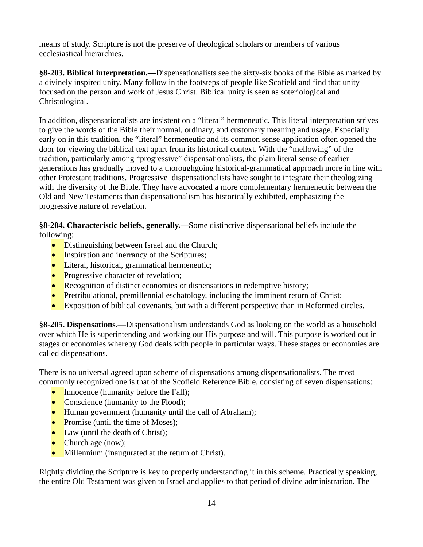means of study. Scripture is not the preserve of theological scholars or members of various ecclesiastical hierarchies.

**§8-203. Biblical interpretation.—**Dispensationalists see the sixty-six books of the Bible as marked by a divinely inspired unity. Many follow in the footsteps of people like Scofield and find that unity focused on the person and work of Jesus Christ. Biblical unity is seen as soteriological and Christological.

In addition, dispensationalists are insistent on a "literal" hermeneutic. This literal interpretation strives to give the words of the Bible their normal, ordinary, and customary meaning and usage. Especially early on in this tradition, the "literal" hermeneutic and its common sense application often opened the door for viewing the biblical text apart from its historical context. With the "mellowing" of the tradition, particularly among "progressive" dispensationalists, the plain literal sense of earlier generations has gradually moved to a thoroughgoing historical-grammatical approach more in line with other Protestant traditions. Progressive dispensationalists have sought to integrate their theologizing with the diversity of the Bible. They have advocated a more complementary hermeneutic between the Old and New Testaments than dispensationalism has historically exhibited, emphasizing the progressive nature of revelation.

**§8-204. Characteristic beliefs, generally.—**Some distinctive dispensational beliefs include the following:

- Distinguishing between Israel and the Church;
- Inspiration and inerrancy of the Scriptures;
- Literal, historical, grammatical hermeneutic;
- Progressive character of revelation;
- Recognition of distinct economies or dispensations in redemptive history;
- Pretribulational, premillennial eschatology, including the imminent return of Christ;
- Exposition of biblical covenants, but with a different perspective than in Reformed circles.

**§8-205. Dispensations.—**Dispensationalism understands God as looking on the world as a household over which He is superintending and working out His purpose and will. This purpose is worked out in stages or economies whereby God deals with people in particular ways. These stages or economies are called dispensations.

There is no universal agreed upon scheme of dispensations among dispensationalists. The most commonly recognized one is that of the Scofield Reference Bible, consisting of seven dispensations:

- Innocence (humanity before the Fall);
- Conscience (humanity to the Flood);
- Human government (humanity until the call of Abraham);
- Promise (until the time of Moses);
- Law (until the death of Christ);
- Church age (now);
- Millennium (inaugurated at the return of Christ).

Rightly dividing the Scripture is key to properly understanding it in this scheme. Practically speaking, the entire Old Testament was given to Israel and applies to that period of divine administration. The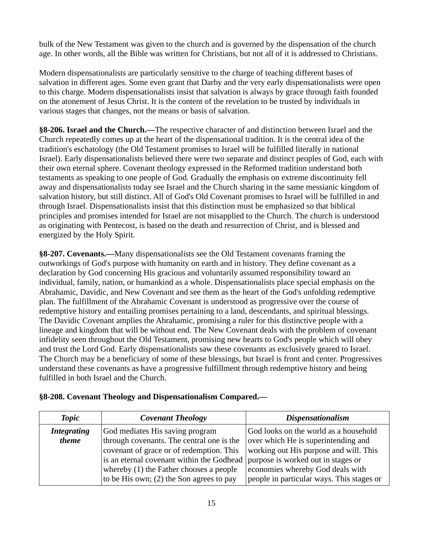bulk of the New Testament was given to the church and is governed by the dispensation of the church age. In other words, all the Bible was written for Christians, but not all of it is addressed to Christians.

Modern dispensationalists are particularly sensitive to the charge of teaching different bases of salvation in different ages. Some even grant that Darby and the very early dispensationalists were open to this charge. Modern dispensationalists insist that salvation is always by grace through faith founded on the atonement of Jesus Christ. It is the content of the revelation to be trusted by individuals in various stages that changes, not the means or basis of salvation.

**§8-206. Israel and the Church.—**The respective character of and distinction between Israel and the Church repeatedly comes up at the heart of the dispensational tradition. It is the central idea of the tradition's eschatology (the Old Testament promises to Israel will be fulfilled literally in national Israel). Early dispensationalists believed there were two separate and distinct peoples of God, each with their own eternal sphere. Covenant theology expressed in the Reformed tradition understand both testaments as speaking to one people of God. Gradually the emphasis on extreme discontinuity fell away and dispensationalists today see Israel and the Church sharing in the same messianic kingdom of salvation history, but still distinct. All of God's Old Covenant promises to Israel will be fulfilled in and through Israel. Dispensationalists insist that this distinction must be emphasized so that biblical principles and promises intended for Israel are not misapplied to the Church. The church is understood as originating with Pentecost, is based on the death and resurrection of Christ, and is blessed and energized by the Holy Spirit.

**§8-207. Covenants.—**Many dispensationalists see the Old Testament covenants framing the outworkings of God's purpose with humanity on earth and in history. They define covenant as a declaration by God concerning His gracious and voluntarily assumed responsibility toward an individual, family, nation, or humankind as a whole. Dispensationalists place special emphasis on the Abrahamic, Davidic, and New Covenant and see them as the heart of the God's unfolding redemptive plan. The fulfillment of the Abrahamic Covenant is understood as progressive over the course of redemptive history and entailing promises pertaining to a land, descendants, and spiritual blessings. The Davidic Covenant amplies the Abrahamic, promising a ruler for this distinctive people with a lineage and kingdom that will be without end. The New Covenant deals with the problem of covenant infidelity seen throughout the Old Testament, promising new hearts to God's people which will obey and trust the Lord God. Early dispensationalists saw these covenants as exclusively geared to Israel. The Church may be a beneficiary of some of these blessings, but Israel is front and center. Progressives understand these covenants as have a progressive fulfillment through redemptive history and being fulfilled in both Israel and the Church.

|  |  | §8-208. Covenant Theology and Dispensationalism Compared.- |  |
|--|--|------------------------------------------------------------|--|
|  |  |                                                            |  |

| <b>Topic</b>       | <b>Covenant Theology</b>                   | <b>Dispensationalism</b>                  |
|--------------------|--------------------------------------------|-------------------------------------------|
| <b>Integrating</b> | God mediates His saving program            | God looks on the world as a household     |
| theme              | through covenants. The central one is the  | over which He is superintending and       |
|                    | covenant of grace or of redemption. This   | working out His purpose and will. This    |
|                    | is an eternal covenant within the Godhead  | purpose is worked out in stages or        |
|                    | whereby (1) the Father chooses a people    | economies whereby God deals with          |
|                    | to be His own; $(2)$ the Son agrees to pay | people in particular ways. This stages or |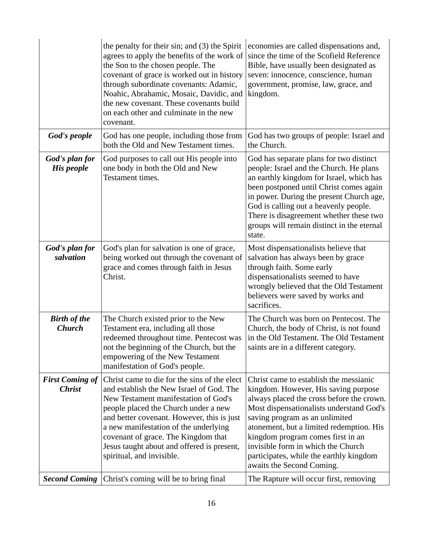|                                         | the penalty for their sin; and (3) the Spirit<br>agrees to apply the benefits of the work of<br>the Son to the chosen people. The<br>covenant of grace is worked out in history<br>through subordinate covenants: Adamic,<br>Noahic, Abrahamic, Mosaic, Davidic, and<br>the new covenant. These covenants build<br>on each other and culminate in the new<br>covenant.            | economies are called dispensations and,<br>since the time of the Scofield Reference<br>Bible, have usually been designated as<br>seven: innocence, conscience, human<br>government, promise, law, grace, and<br>kingdom.                                                                                                                                                                                 |
|-----------------------------------------|-----------------------------------------------------------------------------------------------------------------------------------------------------------------------------------------------------------------------------------------------------------------------------------------------------------------------------------------------------------------------------------|----------------------------------------------------------------------------------------------------------------------------------------------------------------------------------------------------------------------------------------------------------------------------------------------------------------------------------------------------------------------------------------------------------|
| God's people                            | God has one people, including those from<br>both the Old and New Testament times.                                                                                                                                                                                                                                                                                                 | God has two groups of people: Israel and<br>the Church.                                                                                                                                                                                                                                                                                                                                                  |
| God's plan for<br>His people            | God purposes to call out His people into<br>one body in both the Old and New<br>Testament times.                                                                                                                                                                                                                                                                                  | God has separate plans for two distinct<br>people: Israel and the Church. He plans<br>an earthly kingdom for Israel, which has<br>been postponed until Christ comes again<br>in power. During the present Church age,<br>God is calling out a heavenly people.<br>There is disagreement whether these two<br>groups will remain distinct in the eternal<br>state.                                        |
| God's plan for<br>salvation             | God's plan for salvation is one of grace,<br>being worked out through the covenant of<br>grace and comes through faith in Jesus<br>Christ.                                                                                                                                                                                                                                        | Most dispensationalists believe that<br>salvation has always been by grace<br>through faith. Some early<br>dispensationalists seemed to have<br>wrongly believed that the Old Testament<br>believers were saved by works and<br>sacrifices.                                                                                                                                                              |
| <b>Birth of the</b><br><b>Church</b>    | The Church existed prior to the New<br>Testament era, including all those<br>redeemed throughout time. Pentecost was<br>not the beginning of the Church, but the<br>empowering of the New Testament<br>manifestation of God's people.                                                                                                                                             | The Church was born on Pentecost. The<br>Church, the body of Christ, is not found<br>in the Old Testament. The Old Testament<br>saints are in a different category.                                                                                                                                                                                                                                      |
| <b>First Coming of</b><br><b>Christ</b> | Christ came to die for the sins of the elect<br>and establish the New Israel of God. The<br>New Testament manifestation of God's<br>people placed the Church under a new<br>and better covenant. However, this is just<br>a new manifestation of the underlying<br>covenant of grace. The Kingdom that<br>Jesus taught about and offered is present,<br>spiritual, and invisible. | Christ came to establish the messianic<br>kingdom. However, His saving purpose<br>always placed the cross before the crown.<br>Most dispensationalists understand God's<br>saving program as an unlimited<br>atonement, but a limited redemption. His<br>kingdom program comes first in an<br>invisible form in which the Church<br>participates, while the earthly kingdom<br>awaits the Second Coming. |
| <b>Second Coming</b>                    | Christ's coming will be to bring final                                                                                                                                                                                                                                                                                                                                            | The Rapture will occur first, removing                                                                                                                                                                                                                                                                                                                                                                   |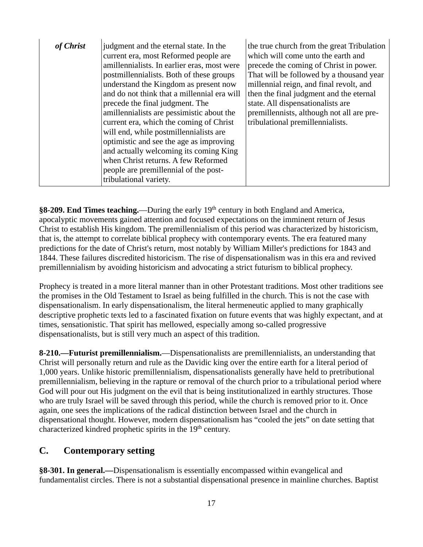| of Christ | judgment and the eternal state. In the<br>current era, most Reformed people are<br>amillennialists. In earlier eras, most were<br>postmillennialists. Both of these groups<br>understand the Kingdom as present now<br>and do not think that a millennial era will<br>precede the final judgment. The<br>amillennialists are pessimistic about the<br>current era, which the coming of Christ<br>will end, while postmillennialists are<br>optimistic and see the age as improving<br>and actually welcoming its coming King<br>when Christ returns. A few Reformed | the true church from the great Tribulation<br>which will come unto the earth and<br>precede the coming of Christ in power.<br>That will be followed by a thousand year<br>millennial reign, and final revolt, and<br>then the final judgment and the eternal<br>state. All dispensationalists are<br>premillennists, although not all are pre-<br>tribulational premillennialists. |
|-----------|---------------------------------------------------------------------------------------------------------------------------------------------------------------------------------------------------------------------------------------------------------------------------------------------------------------------------------------------------------------------------------------------------------------------------------------------------------------------------------------------------------------------------------------------------------------------|------------------------------------------------------------------------------------------------------------------------------------------------------------------------------------------------------------------------------------------------------------------------------------------------------------------------------------------------------------------------------------|
|           | people are premillennial of the post-<br>tribulational variety.                                                                                                                                                                                                                                                                                                                                                                                                                                                                                                     |                                                                                                                                                                                                                                                                                                                                                                                    |

**§8-209. End Times teaching.—During the early 19<sup>th</sup> century in both England and America,** apocalyptic movements gained attention and focused expectations on the imminent return of Jesus Christ to establish His kingdom. The premillennialism of this period was characterized by historicism, that is, the attempt to correlate biblical prophecy with contemporary events. The era featured many predictions for the date of Christ's return, most notably by William Miller's predictions for 1843 and 1844. These failures discredited historicism. The rise of dispensationalism was in this era and revived premillennialism by avoiding historicism and advocating a strict futurism to biblical prophecy.

Prophecy is treated in a more literal manner than in other Protestant traditions. Most other traditions see the promises in the Old Testament to Israel as being fulfilled in the church. This is not the case with dispensationalism. In early dispensationalism, the literal hermeneutic applied to many graphically descriptive prophetic texts led to a fascinated fixation on future events that was highly expectant, and at times, sensationistic. That spirit has mellowed, especially among so-called progressive dispensationalists, but is still very much an aspect of this tradition.

**8-210.—Futurist premillennialism.**—Dispensationalists are premillennialists, an understanding that Christ will personally return and rule as the Davidic king over the entire earth for a literal period of 1,000 years. Unlike historic premillennialism, dispensationalists generally have held to pretributional premillennialism, believing in the rapture or removal of the church prior to a tribulational period where God will pour out His judgment on the evil that is being institutionalized in earthly structures. Those who are truly Israel will be saved through this period, while the church is removed prior to it. Once again, one sees the implications of the radical distinction between Israel and the church in dispensational thought. However, modern dispensationalism has "cooled the jets" on date setting that characterized kindred prophetic spirits in the 19<sup>th</sup> century.

#### **C. Contemporary setting**

**§8-301. In general.—**Dispensationalism is essentially encompassed within evangelical and fundamentalist circles. There is not a substantial dispensational presence in mainline churches. Baptist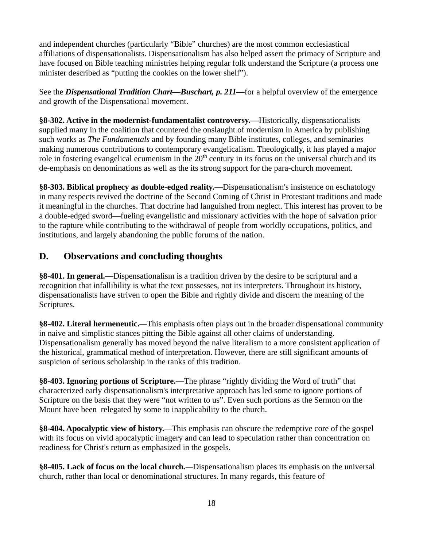and independent churches (particularly "Bible" churches) are the most common ecclesiastical affiliations of dispensationalists. Dispensationalism has also helped assert the primacy of Scripture and have focused on Bible teaching ministries helping regular folk understand the Scripture (a process one minister described as "putting the cookies on the lower shelf").

See the *Dispensational Tradition Chart—Buschart, p. 211—*for a helpful overview of the emergence and growth of the Dispensational movement.

**§8-302. Active in the modernist-fundamentalist controversy.—**Historically, dispensationalists supplied many in the coalition that countered the onslaught of modernism in America by publishing such works as *The Fundamentals* and by founding many Bible institutes, colleges, and seminaries making numerous contributions to contemporary evangelicalism. Theologically, it has played a major role in fostering evangelical ecumenism in the  $20<sup>th</sup>$  century in its focus on the universal church and its de-emphasis on denominations as well as the its strong support for the para-church movement.

**§8-303. Biblical prophecy as double-edged reality.—**Dispensationalism's insistence on eschatology in many respects revived the doctrine of the Second Coming of Christ in Protestant traditions and made it meaningful in the churches. That doctrine had languished from neglect. This interest has proven to be a double-edged sword—fueling evangelistic and missionary activities with the hope of salvation prior to the rapture while contributing to the withdrawal of people from worldly occupations, politics, and institutions, and largely abandoning the public forums of the nation.

## **D. Observations and concluding thoughts**

**§8-401. In general.—**Dispensationalism is a tradition driven by the desire to be scriptural and a recognition that infallibility is what the text possesses, not its interpreters. Throughout its history, dispensationalists have striven to open the Bible and rightly divide and discern the meaning of the Scriptures.

**§8-402. Literal hermeneutic.***—*This emphasis often plays out in the broader dispensational community in naive and simplistic stances pitting the Bible against all other claims of understanding. Dispensationalism generally has moved beyond the naive literalism to a more consistent application of the historical, grammatical method of interpretation. However, there are still significant amounts of suspicion of serious scholarship in the ranks of this tradition.

**§8-403. Ignoring portions of Scripture.**—The phrase "rightly dividing the Word of truth" that characterized early dispensationalism's interpretative approach has led some to ignore portions of Scripture on the basis that they were "not written to us". Even such portions as the Sermon on the Mount have been relegated by some to inapplicability to the church.

**§8-404. Apocalyptic view of history.***—*This emphasis can obscure the redemptive core of the gospel with its focus on vivid apocalyptic imagery and can lead to speculation rather than concentration on readiness for Christ's return as emphasized in the gospels.

**§8-405. Lack of focus on the local church***.—*Dispensationalism places its emphasis on the universal church, rather than local or denominational structures. In many regards, this feature of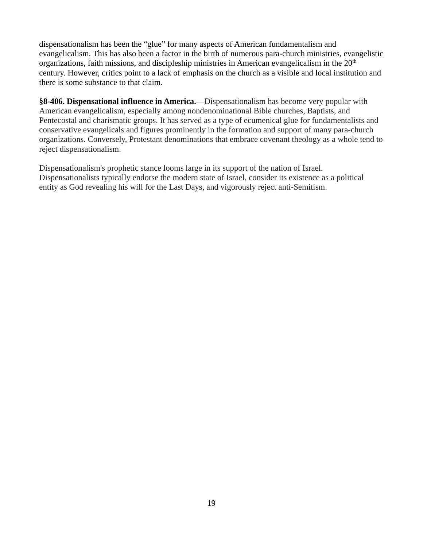dispensationalism has been the "glue" for many aspects of American fundamentalism and evangelicalism. This has also been a factor in the birth of numerous para-church ministries, evangelistic organizations, faith missions, and discipleship ministries in American evangelicalism in the  $20<sup>th</sup>$ century. However, critics point to a lack of emphasis on the church as a visible and local institution and there is some substance to that claim.

**§8-406. Dispensational influence in America.**—Dispensationalism has become very popular with American evangelicalism, especially among nondenominational Bible churches, Baptists, and Pentecostal and charismatic groups. It has served as a type of ecumenical glue for fundamentalists and conservative evangelicals and figures prominently in the formation and support of many para-church organizations. Conversely, Protestant denominations that embrace covenant theology as a whole tend to reject dispensationalism.

Dispensationalism's prophetic stance looms large in its support of the nation of Israel. Dispensationalists typically endorse the modern state of Israel, consider its existence as a political entity as God revealing his will for the Last Days, and vigorously reject anti-Semitism.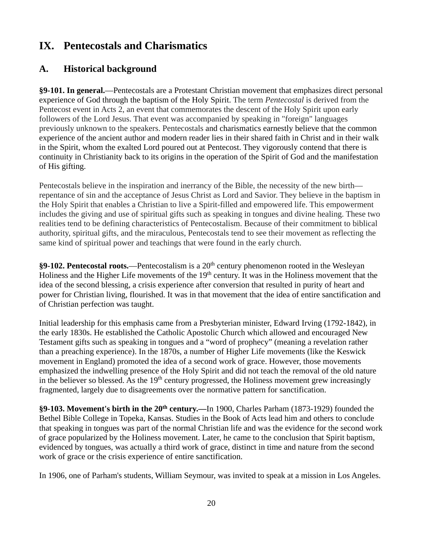## **IX. Pentecostals and Charismatics**

## **A. Historical background**

**§9-101. In general.**—Pentecostals are a Protestant Christian movement that emphasizes direct personal experience of God through the baptism of the Holy Spirit. The term *Pentecostal* is derived from the Pentecost event in Acts 2, an event that commemorates the descent of the Holy Spirit upon early followers of the Lord Jesus. That event was accompanied by speaking in "foreign" languages previously unknown to the speakers. Pentecostals and charismatics earnestly believe that the common experience of the ancient author and modern reader lies in their shared faith in Christ and in their walk in the Spirit, whom the exalted Lord poured out at Pentecost. They vigorously contend that there is continuity in Christianity back to its origins in the operation of the Spirit of God and the manifestation of His gifting.

Pentecostals believe in the inspiration and inerrancy of the Bible, the necessity of the new birth repentance of sin and the acceptance of Jesus Christ as Lord and Savior. They believe in the baptism in the Holy Spirit that enables a Christian to live a Spirit-filled and empowered life. This empowerment includes the giving and use of spiritual gifts such as speaking in tongues and divine healing. These two realities tend to be defining characteristics of Pentecostalism. Because of their commitment to biblical authority, spiritual gifts, and the miraculous, Pentecostals tend to see their movement as reflecting the same kind of spiritual power and teachings that were found in the early church.

**§9-102. Pentecostal roots.**—Pentecostalism is a 20th century phenomenon rooted in the Wesleyan Holiness and the Higher Life movements of the 19<sup>th</sup> century. It was in the Holiness movement that the idea of the second blessing, a crisis experience after conversion that resulted in purity of heart and power for Christian living, flourished. It was in that movement that the idea of entire sanctification and of Christian perfection was taught.

Initial leadership for this emphasis came from a Presbyterian minister, Edward Irving (1792-1842), in the early 1830s. He established the Catholic Apostolic Church which allowed and encouraged New Testament gifts such as speaking in tongues and a "word of prophecy" (meaning a revelation rather than a preaching experience). In the 1870s, a number of Higher Life movements (like the Keswick movement in England) promoted the idea of a second work of grace. However, those movements emphasized the indwelling presence of the Holy Spirit and did not teach the removal of the old nature in the believer so blessed. As the  $19<sup>th</sup>$  century progressed, the Holiness movement grew increasingly fragmented, largely due to disagreements over the normative pattern for sanctification.

**§9-103. Movement's birth in the 20th century.***—*In 1900, Charles Parham (1873-1929) founded the Bethel Bible College in Topeka, Kansas. Studies in the Book of Acts lead him and others to conclude that speaking in tongues was part of the normal Christian life and was the evidence for the second work of grace popularized by the Holiness movement. Later, he came to the conclusion that Spirit baptism, evidenced by tongues, was actually a third work of grace, distinct in time and nature from the second work of grace or the crisis experience of entire sanctification.

In 1906, one of Parham's students, William Seymour, was invited to speak at a mission in Los Angeles.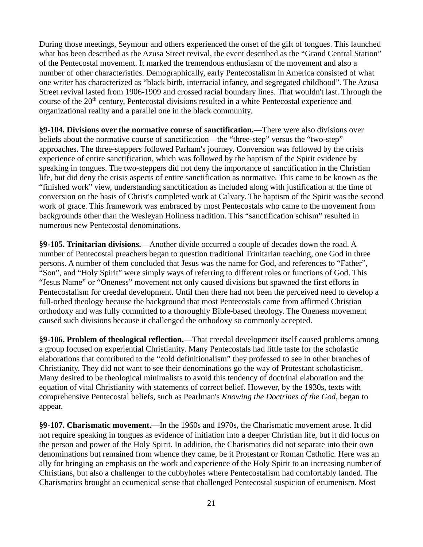During those meetings, Seymour and others experienced the onset of the gift of tongues. This launched what has been described as the Azusa Street revival, the event described as the "Grand Central Station" of the Pentecostal movement. It marked the tremendous enthusiasm of the movement and also a number of other characteristics. Demographically, early Pentecostalism in America consisted of what one writer has characterized as "black birth, interracial infancy, and segregated childhood". The Azusa Street revival lasted from 1906-1909 and crossed racial boundary lines. That wouldn't last. Through the course of the 20th century, Pentecostal divisions resulted in a white Pentecostal experience and organizational reality and a parallel one in the black community.

**§9-104. Divisions over the normative course of sanctification.**—There were also divisions over beliefs about the normative course of sanctification—the "three-step" versus the "two-step" approaches. The three-steppers followed Parham's journey. Conversion was followed by the crisis experience of entire sanctification, which was followed by the baptism of the Spirit evidence by speaking in tongues. The two-steppers did not deny the importance of sanctification in the Christian life, but did deny the crisis aspects of entire sanctification as normative. This came to be known as the "finished work" view, understanding sanctification as included along with justification at the time of conversion on the basis of Christ's completed work at Calvary. The baptism of the Spirit was the second work of grace. This framework was embraced by most Pentecostals who came to the movement from backgrounds other than the Wesleyan Holiness tradition. This "sanctification schism" resulted in numerous new Pentecostal denominations.

**§9-105. Trinitarian divisions.**—Another divide occurred a couple of decades down the road. A number of Pentecostal preachers began to question traditional Trinitarian teaching, one God in three persons. A number of them concluded that Jesus was the name for God, and references to "Father", "Son", and "Holy Spirit" were simply ways of referring to different roles or functions of God. This "Jesus Name" or "Oneness" movement not only caused divisions but spawned the first efforts in Pentecostalism for creedal development. Until then there had not been the perceived need to develop a full-orbed theology because the background that most Pentecostals came from affirmed Christian orthodoxy and was fully committed to a thoroughly Bible-based theology. The Oneness movement caused such divisions because it challenged the orthodoxy so commonly accepted.

**§9-106. Problem of theological reflection.**—That creedal development itself caused problems among a group focused on experiential Christianity. Many Pentecostals had little taste for the scholastic elaborations that contributed to the "cold definitionalism" they professed to see in other branches of Christianity. They did not want to see their denominations go the way of Protestant scholasticism. Many desired to be theological minimalists to avoid this tendency of doctrinal elaboration and the equation of vital Christianity with statements of correct belief. However, by the 1930s, texts with comprehensive Pentecostal beliefs, such as Pearlman's *Knowing the Doctrines of the God*, began to appear.

**§9-107. Charismatic movement.**—In the 1960s and 1970s, the Charismatic movement arose. It did not require speaking in tongues as evidence of initiation into a deeper Christian life, but it did focus on the person and power of the Holy Spirit. In addition, the Charismatics did not separate into their own denominations but remained from whence they came, be it Protestant or Roman Catholic. Here was an ally for bringing an emphasis on the work and experience of the Holy Spirit to an increasing number of Christians, but also a challenger to the cubbyholes where Pentecostalism had comfortably landed. The Charismatics brought an ecumenical sense that challenged Pentecostal suspicion of ecumenism. Most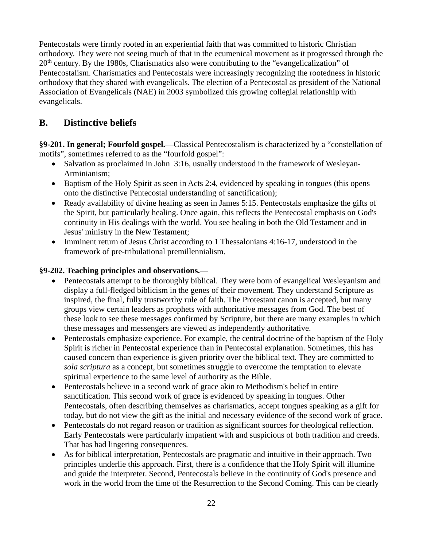Pentecostals were firmly rooted in an experiential faith that was committed to historic Christian orthodoxy. They were not seeing much of that in the ecumenical movement as it progressed through the  $20<sup>th</sup>$  century. By the 1980s, Charismatics also were contributing to the "evangelicalization" of Pentecostalism. Charismatics and Pentecostals were increasingly recognizing the rootedness in historic orthodoxy that they shared with evangelicals. The election of a Pentecostal as president of the National Association of Evangelicals (NAE) in 2003 symbolized this growing collegial relationship with evangelicals.

## **B. Distinctive beliefs**

**§9-201. In general; Fourfold gospel.**—Classical Pentecostalism is characterized by a "constellation of motifs", sometimes referred to as the "fourfold gospel":

- Salvation as proclaimed in John 3:16, usually understood in the framework of Wesleyan-Arminianism;
- Baptism of the Holy Spirit as seen in Acts 2:4, evidenced by speaking in tongues (this opens onto the distinctive Pentecostal understanding of sanctification);
- Ready availability of divine healing as seen in James 5:15. Pentecostals emphasize the gifts of the Spirit, but particularly healing. Once again, this reflects the Pentecostal emphasis on God's continuity in His dealings with the world. You see healing in both the Old Testament and in Jesus' ministry in the New Testament;
- Imminent return of Jesus Christ according to 1 Thessalonians 4:16-17, understood in the framework of pre-tribulational premillennialism.

#### **§9-202. Teaching principles and observations.**—

- Pentecostals attempt to be thoroughly biblical. They were born of evangelical Wesleyanism and display a full-fledged biblicism in the genes of their movement. They understand Scripture as inspired, the final, fully trustworthy rule of faith. The Protestant canon is accepted, but many groups view certain leaders as prophets with authoritative messages from God. The best of these look to see these messages confirmed by Scripture, but there are many examples in which these messages and messengers are viewed as independently authoritative.
- Pentecostals emphasize experience. For example, the central doctrine of the baptism of the Holy Spirit is richer in Pentecostal experience than in Pentecostal explanation. Sometimes, this has caused concern than experience is given priority over the biblical text. They are committed to *sola scriptura* as a concept, but sometimes struggle to overcome the temptation to elevate spiritual experience to the same level of authority as the Bible.
- Pentecostals believe in a second work of grace akin to Methodism's belief in entire sanctification. This second work of grace is evidenced by speaking in tongues. Other Pentecostals, often describing themselves as charismatics, accept tongues speaking as a gift for today, but do not view the gift as the initial and necessary evidence of the second work of grace.
- Pentecostals do not regard reason or tradition as significant sources for theological reflection. Early Pentecostals were particularly impatient with and suspicious of both tradition and creeds. That has had lingering consequences.
- As for biblical interpretation, Pentecostals are pragmatic and intuitive in their approach. Two principles underlie this approach. First, there is a confidence that the Holy Spirit will illumine and guide the interpreter. Second, Pentecostals believe in the continuity of God's presence and work in the world from the time of the Resurrection to the Second Coming. This can be clearly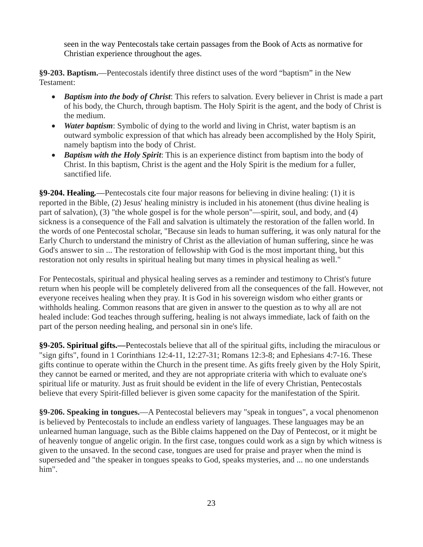seen in the way Pentecostals take certain passages from the Book of Acts as normative for Christian experience throughout the ages.

**§9-203. Baptism.**—Pentecostals identify three distinct uses of the word "baptism" in the New Testament:

- *Baptism into the body of Christ*: This refers to salvation. Every believer in Christ is made a part of his body, the Church, through baptism. The Holy Spirit is the agent, and the body of Christ is the medium.
- *Water baptism*: Symbolic of dying to the world and living in Christ, water baptism is an outward symbolic expression of that which has already been accomplished by the Holy Spirit, namely baptism into the body of Christ.
- *Baptism with the Holy Spirit*: This is an experience distinct from baptism into the body of Christ. In this baptism, Christ is the agent and the Holy Spirit is the medium for a fuller, sanctified life.

**§9-204. Healing***.*—Pentecostals cite four major reasons for believing in divine healing: (1) it is reported in the Bible, (2) Jesus' healing ministry is included in his atonement (thus divine healing is part of salvation), (3) "the whole gospel is for the whole person"—spirit, soul, and body, and (4) sickness is a consequence of the Fall and salvation is ultimately the restoration of the fallen world. In the words of one Pentecostal scholar, "Because sin leads to human suffering, it was only natural for the Early Church to understand the ministry of Christ as the alleviation of human suffering, since he was God's answer to sin ... The restoration of fellowship with God is the most important thing, but this restoration not only results in spiritual healing but many times in physical healing as well."

For Pentecostals, spiritual and physical healing serves as a reminder and testimony to Christ's future return when his people will be completely delivered from all the consequences of the fall. However, not everyone receives healing when they pray. It is God in his sovereign wisdom who either grants or withholds healing. Common reasons that are given in answer to the question as to why all are not healed include: God teaches through suffering, healing is not always immediate, lack of faith on the part of the person needing healing, and personal sin in one's life.

**§9-205. Spiritual gifts.***—*Pentecostals believe that all of the spiritual gifts, including the miraculous or "sign gifts", found in 1 Corinthians 12:4-11, 12:27-31; Romans 12:3-8; and Ephesians 4:7-16. These gifts continue to operate within the Church in the present time. As gifts freely given by the Holy Spirit, they cannot be earned or merited, and they are not appropriate criteria with which to evaluate one's spiritual life or maturity. Just as fruit should be evident in the life of every Christian, Pentecostals believe that every Spirit-filled believer is given some capacity for the manifestation of the Spirit.

**§9-206. Speaking in tongues.**—A Pentecostal believers may "speak in tongues", a vocal phenomenon is believed by Pentecostals to include an endless variety of languages. These languages may be an unlearned human language, such as the Bible claims happened on the Day of Pentecost, or it might be of heavenly tongue of angelic origin. In the first case, tongues could work as a sign by which witness is given to the unsaved. In the second case, tongues are used for praise and prayer when the mind is superseded and "the speaker in tongues speaks to God, speaks mysteries, and ... no one understands him".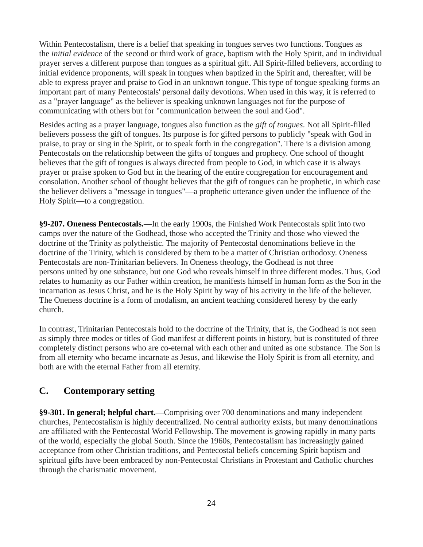Within Pentecostalism, there is a belief that speaking in tongues serves two functions. Tongues as the *initial evidence* of the second or third work of grace, baptism with the Holy Spirit, and in individual prayer serves a different purpose than tongues as a spiritual gift. All Spirit-filled believers, according to initial evidence proponents, will speak in tongues when baptized in the Spirit and, thereafter, will be able to express prayer and praise to God in an unknown tongue. This type of tongue speaking forms an important part of many Pentecostals' personal daily devotions. When used in this way, it is referred to as a "prayer language" as the believer is speaking unknown languages not for the purpose of communicating with others but for "communication between the soul and God".

Besides acting as a prayer language, tongues also function as the *gift of tongues*. Not all Spirit-filled believers possess the gift of tongues. Its purpose is for gifted persons to publicly "speak with God in praise, to pray or sing in the Spirit, or to speak forth in the congregation". There is a division among Pentecostals on the relationship between the gifts of tongues and prophecy. One school of thought believes that the gift of tongues is always directed from people to God, in which case it is always prayer or praise spoken to God but in the hearing of the entire congregation for encouragement and consolation. Another school of thought believes that the gift of tongues can be prophetic, in which case the believer delivers a "message in tongues"—a prophetic utterance given under the influence of the Holy Spirit—to a congregation.

**§9-207. Oneness Pentecostals.**—In the early 1900s, the Finished Work Pentecostals split into two camps over the nature of the Godhead, those who accepted the Trinity and those who viewed the doctrine of the Trinity as polytheistic. The majority of Pentecostal denominations believe in the doctrine of the Trinity, which is considered by them to be a matter of Christian orthodoxy. Oneness Pentecostals are non-Trinitarian believers. In Oneness theology, the Godhead is not three persons united by one substance, but one God who reveals himself in three different modes. Thus, God relates to humanity as our Father within creation, he manifests himself in human form as the Son in the incarnation as Jesus Christ, and he is the Holy Spirit by way of his activity in the life of the believer. The Oneness doctrine is a form of modalism, an ancient teaching considered heresy by the early church.

In contrast, Trinitarian Pentecostals hold to the doctrine of the Trinity, that is, the Godhead is not seen as simply three modes or titles of God manifest at different points in history, but is constituted of three completely distinct persons who are co-eternal with each other and united as one substance. The Son is from all eternity who became incarnate as Jesus, and likewise the Holy Spirit is from all eternity, and both are with the eternal Father from all eternity.

## **C. Contemporary setting**

**§9-301. In general; helpful chart.**—Comprising over 700 denominations and many independent churches, Pentecostalism is highly decentralized. No central authority exists, but many denominations are affiliated with the Pentecostal World Fellowship. The movement is growing rapidly in many parts of the world, especially the global South. Since the 1960s, Pentecostalism has increasingly gained acceptance from other Christian traditions, and Pentecostal beliefs concerning Spirit baptism and spiritual gifts have been embraced by non-Pentecostal Christians in Protestant and Catholic churches through the charismatic movement.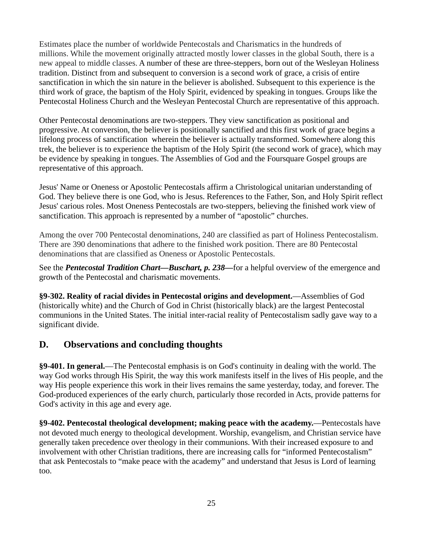Estimates place the number of worldwide Pentecostals and Charismatics in the hundreds of millions. While the movement originally attracted mostly lower classes in the global South, there is a new appeal to middle classes. A number of these are three-steppers, born out of the Wesleyan Holiness tradition. Distinct from and subsequent to conversion is a second work of grace, a crisis of entire sanctification in which the sin nature in the believer is abolished. Subsequent to this experience is the third work of grace, the baptism of the Holy Spirit, evidenced by speaking in tongues. Groups like the Pentecostal Holiness Church and the Wesleyan Pentecostal Church are representative of this approach.

Other Pentecostal denominations are two-steppers. They view sanctification as positional and progressive. At conversion, the believer is positionally sanctified and this first work of grace begins a lifelong process of sanctification wherein the believer is actually transformed. Somewhere along this trek, the believer is to experience the baptism of the Holy Spirit (the second work of grace), which may be evidence by speaking in tongues. The Assemblies of God and the Foursquare Gospel groups are representative of this approach.

Jesus' Name or Oneness or Apostolic Pentecostals affirm a Christological unitarian understanding of God. They believe there is one God, who is Jesus. References to the Father, Son, and Holy Spirit reflect Jesus' carious roles. Most Oneness Pentecostals are two-steppers, believing the finished work view of sanctification. This approach is represented by a number of "apostolic" churches.

Among the over 700 Pentecostal denominations, 240 are classified as part of Holiness Pentecostalism. There are 390 denominations that adhere to the finished work position. There are 80 Pentecostal denominations that are classified as Oneness or Apostolic Pentecostals.

See the *Pentecostal Tradition Chart—Buschart, p. 238—*for a helpful overview of the emergence and growth of the Pentecostal and charismatic movements.

**§9-302. Reality of racial divides in Pentecostal origins and development.**—Assemblies of God (historically white) and the Church of God in Christ (historically black) are the largest Pentecostal communions in the United States. The initial inter-racial reality of Pentecostalism sadly gave way to a significant divide.

## **D. Observations and concluding thoughts**

**§9-401. In general.**—The Pentecostal emphasis is on God's continuity in dealing with the world. The way God works through His Spirit, the way this work manifests itself in the lives of His people, and the way His people experience this work in their lives remains the same yesterday, today, and forever. The God-produced experiences of the early church, particularly those recorded in Acts, provide patterns for God's activity in this age and every age.

**§9-402. Pentecostal theological development; making peace with the academy.**—Pentecostals have not devoted much energy to theological development. Worship, evangelism, and Christian service have generally taken precedence over theology in their communions. With their increased exposure to and involvement with other Christian traditions, there are increasing calls for "informed Pentecostalism" that ask Pentecostals to "make peace with the academy" and understand that Jesus is Lord of learning too.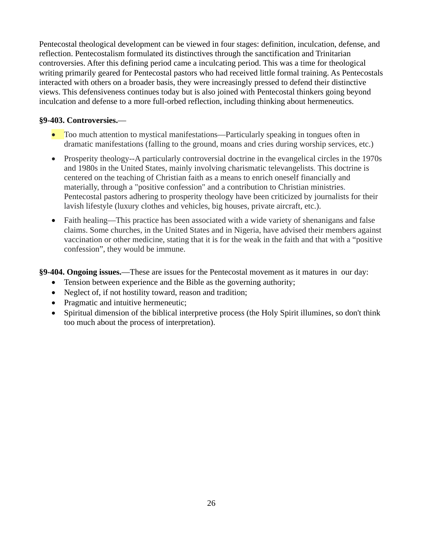Pentecostal theological development can be viewed in four stages: definition, inculcation, defense, and reflection. Pentecostalism formulated its distinctives through the sanctification and Trinitarian controversies. After this defining period came a inculcating period. This was a time for theological writing primarily geared for Pentecostal pastors who had received little formal training. As Pentecostals interacted with others on a broader basis, they were increasingly pressed to defend their distinctive views. This defensiveness continues today but is also joined with Pentecostal thinkers going beyond inculcation and defense to a more full-orbed reflection, including thinking about hermeneutics.

#### **§9-403. Controversies.**—

- Too much attention to mystical manifestations—Particularly speaking in tongues often in dramatic manifestations (falling to the ground, moans and cries during worship services, etc.)
- Prosperity theology--A particularly controversial doctrine in the evangelical circles in the 1970s and 1980s in the United States, mainly involving charismatic televangelists. This doctrine is centered on the teaching of Christian faith as a means to enrich oneself financially and materially, through a "positive confession" and a contribution to Christian ministries. Pentecostal pastors adhering to prosperity theology have been criticized by journalists for their lavish lifestyle (luxury clothes and vehicles, big houses, private aircraft, etc.).
- Faith healing—This practice has been associated with a wide variety of shenanigans and false claims. Some churches, in the United States and in Nigeria, have advised their members against vaccination or other medicine, stating that it is for the weak in the faith and that with a "positive confession", they would be immune.
- **§9-404. Ongoing issues.**—These are issues for the Pentecostal movement as it matures in our day:
	- Tension between experience and the Bible as the governing authority;
	- Neglect of, if not hostility toward, reason and tradition;
	- Pragmatic and intuitive hermeneutic;
	- Spiritual dimension of the biblical interpretive process (the Holy Spirit illumines, so don't think too much about the process of interpretation).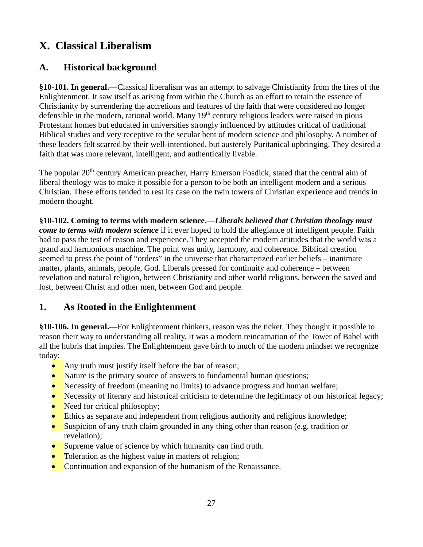## **X. Classical Liberalism**

## **A. Historical background**

**§10-101. In general.**—Classical liberalism was an attempt to salvage Christianity from the fires of the Enlightenment. It saw itself as arising from within the Church as an effort to retain the essence of Christianity by surrendering the accretions and features of the faith that were considered no longer defensible in the modern, rational world. Many  $19<sup>th</sup>$  century religious leaders were raised in pious Protestant homes but educated in universities strongly influenced by attitudes critical of traditional Biblical studies and very receptive to the secular bent of modern science and philosophy. A number of these leaders felt scarred by their well-intentioned, but austerely Puritanical upbringing. They desired a faith that was more relevant, intelligent, and authentically livable.

The popular 20<sup>th</sup> century American preacher, Harry Emerson Fosdick, stated that the central aim of liberal theology was to make it possible for a person to be both an intelligent modern and a serious Christian. These efforts tended to rest its case on the twin towers of Christian experience and trends in modern thought.

**§10-102. Coming to terms with modern science.**—*Liberals believed that Christian theology must come to terms with modern science* if it ever hoped to hold the allegiance of intelligent people. Faith had to pass the test of reason and experience. They accepted the modern attitudes that the world was a grand and harmonious machine. The point was unity, harmony, and coherence. Biblical creation seemed to press the point of "orders" in the universe that characterized earlier beliefs – inanimate matter, plants, animals, people, God. Liberals pressed for continuity and coherence – between revelation and natural religion, between Christianity and other world religions, between the saved and lost, between Christ and other men, between God and people.

## **1. As Rooted in the Enlightenment**

**§10-106. In general.**—For Enlightenment thinkers, reason was the ticket. They thought it possible to reason their way to understanding all reality. It was a modern reincarnation of the Tower of Babel with all the hubris that implies. The Enlightenment gave birth to much of the modern mindset we recognize today:

- Any truth must justify itself before the bar of reason;
- Nature is the primary source of answers to fundamental human questions;
- Necessity of freedom (meaning no limits) to advance progress and human welfare;
- Necessity of literary and historical criticism to determine the legitimacy of our historical legacy;
- Need for critical philosophy;
- Ethics as separate and independent from religious authority and religious knowledge;
- Suspicion of any truth claim grounded in any thing other than reason (e.g. tradition or revelation);
- Supreme value of science by which humanity can find truth.
- Toleration as the highest value in matters of religion;
- Continuation and expansion of the humanism of the Renaissance.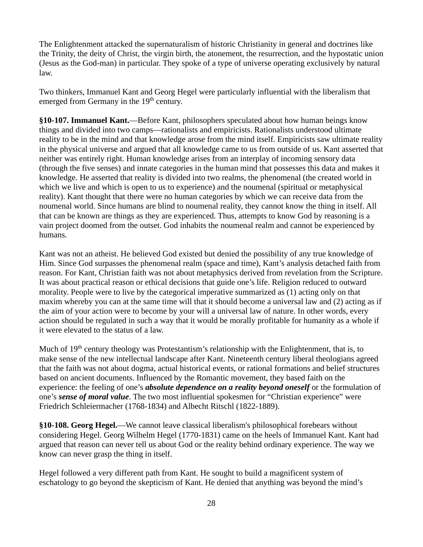The Enlightenment attacked the supernaturalism of historic Christianity in general and doctrines like the Trinity, the deity of Christ, the virgin birth, the atonement, the resurrection, and the hypostatic union (Jesus as the God-man) in particular. They spoke of a type of universe operating exclusively by natural law.

Two thinkers, Immanuel Kant and Georg Hegel were particularly influential with the liberalism that emerged from Germany in the 19<sup>th</sup> century.

**§10-107. Immanuel Kant.**—Before Kant, philosophers speculated about how human beings know things and divided into two camps—rationalists and empiricists. Rationalists understood ultimate reality to be in the mind and that knowledge arose from the mind itself. Empiricists saw ultimate reality in the physical universe and argued that all knowledge came to us from outside of us. Kant asserted that neither was entirely right. Human knowledge arises from an interplay of incoming sensory data (through the five senses) and innate categories in the human mind that possesses this data and makes it knowledge. He asserted that reality is divided into two realms, the phenomenal (the created world in which we live and which is open to us to experience) and the noumenal (spiritual or metaphysical reality). Kant thought that there were no human categories by which we can receive data from the noumenal world. Since humans are blind to noumenal reality, they cannot know the thing in itself. All that can be known are things as they are experienced. Thus, attempts to know God by reasoning is a vain project doomed from the outset. God inhabits the noumenal realm and cannot be experienced by humans.

Kant was not an atheist. He believed God existed but denied the possibility of any true knowledge of Him. Since God surpasses the phenomenal realm (space and time), Kant's analysis detached faith from reason. For Kant, Christian faith was not about metaphysics derived from revelation from the Scripture. It was about practical reason or ethical decisions that guide one's life. Religion reduced to outward morality. People were to live by the categorical imperative summarized as (1) acting only on that maxim whereby you can at the same time will that it should become a universal law and (2) acting as if the aim of your action were to become by your will a universal law of nature. In other words, every action should be regulated in such a way that it would be morally profitable for humanity as a whole if it were elevated to the status of a law.

Much of 19<sup>th</sup> century theology was Protestantism's relationship with the Enlightenment, that is, to make sense of the new intellectual landscape after Kant. Nineteenth century liberal theologians agreed that the faith was not about dogma, actual historical events, or rational formations and belief structures based on ancient documents. Influenced by the Romantic movement, they based faith on the experience: the feeling of one's *absolute dependence on a reality beyond oneself* or the formulation of one's *sense of moral value*. The two most influential spokesmen for "Christian experience" were Friedrich Schleiermacher (1768-1834) and Albecht Ritschl (1822-1889).

**§10-108. Georg Hegel.**—We cannot leave classical liberalism's philosophical forebears without considering Hegel. Georg Wilhelm Hegel (1770-1831) came on the heels of Immanuel Kant. Kant had argued that reason can never tell us about God or the reality behind ordinary experience. The way we know can never grasp the thing in itself.

Hegel followed a very different path from Kant. He sought to build a magnificent system of eschatology to go beyond the skepticism of Kant. He denied that anything was beyond the mind's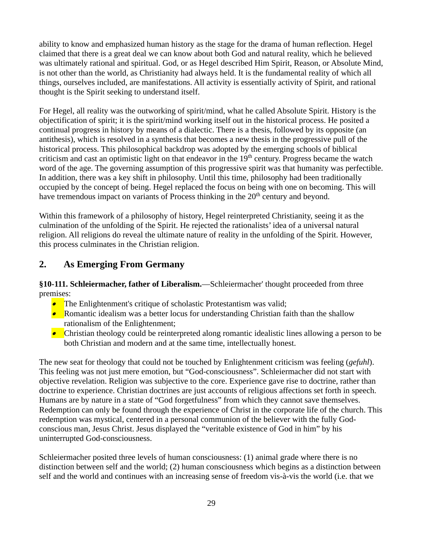ability to know and emphasized human history as the stage for the drama of human reflection. Hegel claimed that there is a great deal we can know about both God and natural reality, which he believed was ultimately rational and spiritual. God, or as Hegel described Him Spirit, Reason, or Absolute Mind, is not other than the world, as Christianity had always held. It is the fundamental reality of which all things, ourselves included, are manifestations. All activity is essentially activity of Spirit, and rational thought is the Spirit seeking to understand itself.

For Hegel, all reality was the outworking of spirit/mind, what he called Absolute Spirit. History is the objectification of spirit; it is the spirit/mind working itself out in the historical process. He posited a continual progress in history by means of a dialectic. There is a thesis, followed by its opposite (an antithesis), which is resolved in a synthesis that becomes a new thesis in the progressive pull of the historical process. This philosophical backdrop was adopted by the emerging schools of biblical criticism and cast an optimistic light on that endeavor in the  $19<sup>th</sup>$  century. Progress became the watch word of the age. The governing assumption of this progressive spirit was that humanity was perfectible. In addition, there was a key shift in philosophy. Until this time, philosophy had been traditionally occupied by the concept of being. Hegel replaced the focus on being with one on becoming. This will have tremendous impact on variants of Process thinking in the 20<sup>th</sup> century and beyond.

Within this framework of a philosophy of history, Hegel reinterpreted Christianity, seeing it as the culmination of the unfolding of the Spirit. He rejected the rationalists' idea of a universal natural religion. All religions do reveal the ultimate nature of reality in the unfolding of the Spirit. However, this process culminates in the Christian religion.

#### **2. As Emerging From Germany**

**§10-111. Schleiermacher, father of Liberalism.**—Schleiermacher' thought proceeded from three premises:

- The Enlightenment's critique of scholastic Protestantism was valid;
- Romantic idealism was a better locus for understanding Christian faith than the shallow rationalism of the Enlightenment;
- Christian theology could be reinterpreted along romantic idealistic lines allowing a person to be both Christian and modern and at the same time, intellectually honest.

The new seat for theology that could not be touched by Enlightenment criticism was feeling (*gefuhl*). This feeling was not just mere emotion, but "God-consciousness". Schleiermacher did not start with objective revelation. Religion was subjective to the core. Experience gave rise to doctrine, rather than doctrine to experience. Christian doctrines are just accounts of religious affections set forth in speech. Humans are by nature in a state of "God forgetfulness" from which they cannot save themselves. Redemption can only be found through the experience of Christ in the corporate life of the church. This redemption was mystical, centered in a personal communion of the believer with the fully Godconscious man, Jesus Christ. Jesus displayed the "veritable existence of God in him" by his uninterrupted God-consciousness.

Schleiermacher posited three levels of human consciousness: (1) animal grade where there is no distinction between self and the world; (2) human consciousness which begins as a distinction between self and the world and continues with an increasing sense of freedom vis-à-vis the world (i.e. that we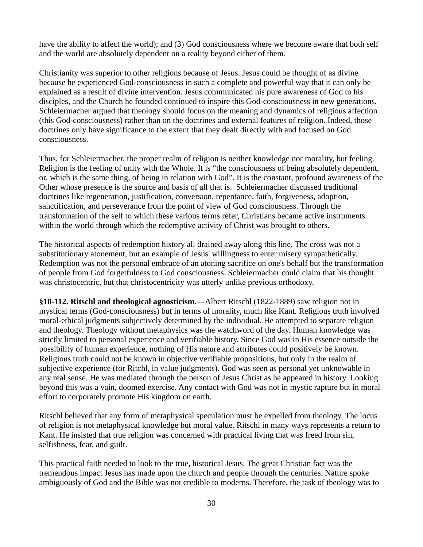have the ability to affect the world); and (3) God consciousness where we become aware that both self and the world are absolutely dependent on a reality beyond either of them.

Christianity was superior to other religions because of Jesus. Jesus could be thought of as divine because he experienced God-consciousness in such a complete and powerful way that it can only be explained as a result of divine intervention. Jesus communicated his pure awareness of God to his disciples, and the Church he founded continued to inspire this God-consciousness in new generations. Schleiermacher argued that theology should focus on the meaning and dynamics of religious affection (this God-consciousness) rather than on the doctrines and external features of religion. Indeed, those doctrines only have significance to the extent that they dealt directly with and focused on God consciousness.

Thus, for Schleiermacher, the proper realm of religion is neither knowledge nor morality, but feeling. Religion is the feeling of unity with the Whole. It is "the consciousness of being absolutely dependent, or, which is the same thing, of being in relation with God". It is the constant, profound awareness of the Other whose presence is the source and basis of all that is. Schleiermacher discussed traditional doctrines like regeneration, justification, conversion, repentance, faith, forgiveness, adoption, sanctification, and perseverance from the point of view of God consciousness. Through the transformation of the self to which these various terms refer, Christians became active instruments within the world through which the redemptive activity of Christ was brought to others.

The historical aspects of redemption history all drained away along this line. The cross was not a substitutionary atonement, but an example of Jesus' willingness to enter misery sympathetically. Redemption was not the personal embrace of an atoning sacrifice on one's behalf but the transformation of people from God forgetfulness to God consciousness. Schleiermacher could claim that his thought was christocentric, but that christocentricity was utterly unlike previous orthodoxy.

**§10-112. Ritschl and theological agnosticism.**—Albert Ritschl (1822-1889) saw religion not in mystical terms (God-consciousness) but in terms of morality, much like Kant. Religious truth involved moral-ethical judgments subjectively determined by the individual. He attempted to separate religion and theology. Theology without metaphysics was the watchword of the day. Human knowledge was strictly limited to personal experience and verifiable history. Since God was in His essence outside the possibility of human experience, nothing of His nature and attributes could positively be known. Religious truth could not be known in objective verifiable propositions, but only in the realm of subjective experience (for Ritchl, in value judgments). God was seen as personal yet unknowable in any real sense. He was mediated through the person of Jesus Christ as he appeared in history. Looking beyond this was a vain, doomed exercise. Any contact with God was not in mystic rapture but in moral effort to corporately promote His kingdom on earth.

Ritschl believed that any form of metaphysical speculation must be expelled from theology. The locus of religion is not metaphysical knowledge but moral value. Ritschl in many ways represents a return to Kant. He insisted that true religion was concerned with practical living that was freed from sin, selfishness, fear, and guilt.

This practical faith needed to look to the true, historical Jesus. The great Christian fact was the tremendous impact Jesus has made upon the church and people through the centuries. Nature spoke ambiguously of God and the Bible was not credible to moderns. Therefore, the task of theology was to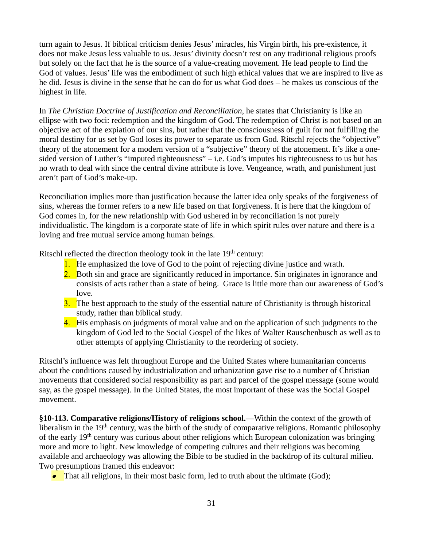turn again to Jesus. If biblical criticism denies Jesus' miracles, his Virgin birth, his pre-existence, it does not make Jesus less valuable to us. Jesus' divinity doesn't rest on any traditional religious proofs but solely on the fact that he is the source of a value-creating movement. He lead people to find the God of values. Jesus' life was the embodiment of such high ethical values that we are inspired to live as he did. Jesus is divine in the sense that he can do for us what God does – he makes us conscious of the highest in life.

In *The Christian Doctrine of Justification and Reconciliation*, he states that Christianity is like an ellipse with two foci: redemption and the kingdom of God. The redemption of Christ is not based on an objective act of the expiation of our sins, but rather that the consciousness of guilt for not fulfilling the moral destiny for us set by God loses its power to separate us from God. Ritschl rejects the "objective" theory of the atonement for a modern version of a "subjective" theory of the atonement. It's like a onesided version of Luther's "imputed righteousness" – i.e. God's imputes his righteousness to us but has no wrath to deal with since the central divine attribute is love. Vengeance, wrath, and punishment just aren't part of God's make-up.

Reconciliation implies more than justification because the latter idea only speaks of the forgiveness of sins, whereas the former refers to a new life based on that forgiveness. It is here that the kingdom of God comes in, for the new relationship with God ushered in by reconciliation is not purely individualistic. The kingdom is a corporate state of life in which spirit rules over nature and there is a loving and free mutual service among human beings.

Ritschl reflected the direction theology took in the late 19<sup>th</sup> century:

- 1. He emphasized the love of God to the point of rejecting divine justice and wrath.
- 2. Both sin and grace are significantly reduced in importance. Sin originates in ignorance and consists of acts rather than a state of being. Grace is little more than our awareness of God's love.
- **3.** The best approach to the study of the essential nature of Christianity is through historical study, rather than biblical study.
- 4. His emphasis on judgments of moral value and on the application of such judgments to the kingdom of God led to the Social Gospel of the likes of Walter Rauschenbusch as well as to other attempts of applying Christianity to the reordering of society.

Ritschl's influence was felt throughout Europe and the United States where humanitarian concerns about the conditions caused by industrialization and urbanization gave rise to a number of Christian movements that considered social responsibility as part and parcel of the gospel message (some would say, as the gospel message). In the United States, the most important of these was the Social Gospel movement.

**§10-113. Comparative religions/History of religions school.**—Within the context of the growth of liberalism in the 19<sup>th</sup> century, was the birth of the study of comparative religions. Romantic philosophy of the early 19<sup>th</sup> century was curious about other religions which European colonization was bringing more and more to light. New knowledge of competing cultures and their religions was becoming available and archaeology was allowing the Bible to be studied in the backdrop of its cultural milieu. Two presumptions framed this endeavor:

• That all religions, in their most basic form, led to truth about the ultimate (God);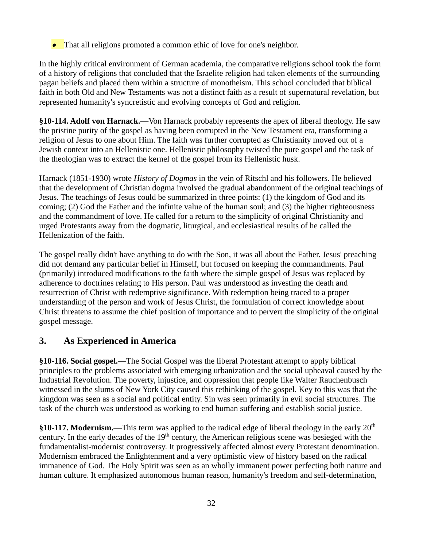• That all religions promoted a common ethic of love for one's neighbor.

In the highly critical environment of German academia, the comparative religions school took the form of a history of religions that concluded that the Israelite religion had taken elements of the surrounding pagan beliefs and placed them within a structure of monotheism. This school concluded that biblical faith in both Old and New Testaments was not a distinct faith as a result of supernatural revelation, but represented humanity's syncretistic and evolving concepts of God and religion.

**§10-114. Adolf von Harnack.**—Von Harnack probably represents the apex of liberal theology. He saw the pristine purity of the gospel as having been corrupted in the New Testament era, transforming a religion of Jesus to one about Him. The faith was further corrupted as Christianity moved out of a Jewish context into an Hellenistic one. Hellenistic philosophy twisted the pure gospel and the task of the theologian was to extract the kernel of the gospel from its Hellenistic husk.

Harnack (1851-1930) wrote *History of Dogmas* in the vein of Ritschl and his followers. He believed that the development of Christian dogma involved the gradual abandonment of the original teachings of Jesus. The teachings of Jesus could be summarized in three points: (1) the kingdom of God and its coming; (2) God the Father and the infinite value of the human soul; and (3) the higher righteousness and the commandment of love. He called for a return to the simplicity of original Christianity and urged Protestants away from the dogmatic, liturgical, and ecclesiastical results of he called the Hellenization of the faith.

The gospel really didn't have anything to do with the Son, it was all about the Father. Jesus' preaching did not demand any particular belief in Himself, but focused on keeping the commandments. Paul (primarily) introduced modifications to the faith where the simple gospel of Jesus was replaced by adherence to doctrines relating to His person. Paul was understood as investing the death and resurrection of Christ with redemptive significance. With redemption being traced to a proper understanding of the person and work of Jesus Christ, the formulation of correct knowledge about Christ threatens to assume the chief position of importance and to pervert the simplicity of the original gospel message.

## **3. As Experienced in America**

**§10-116. Social gospel.**—The Social Gospel was the liberal Protestant attempt to apply biblical principles to the problems associated with emerging urbanization and the social upheaval caused by the Industrial Revolution. The poverty, injustice, and oppression that people like Walter Rauchenbusch witnessed in the slums of New York City caused this rethinking of the gospel. Key to this was that the kingdom was seen as a social and political entity. Sin was seen primarily in evil social structures. The task of the church was understood as working to end human suffering and establish social justice.

**§10-117. Modernism.**—This term was applied to the radical edge of liberal theology in the early 20th century. In the early decades of the 19<sup>th</sup> century, the American religious scene was besieged with the fundamentalist-modernist controversy. It progressively affected almost every Protestant denomination. Modernism embraced the Enlightenment and a very optimistic view of history based on the radical immanence of God. The Holy Spirit was seen as an wholly immanent power perfecting both nature and human culture. It emphasized autonomous human reason, humanity's freedom and self-determination,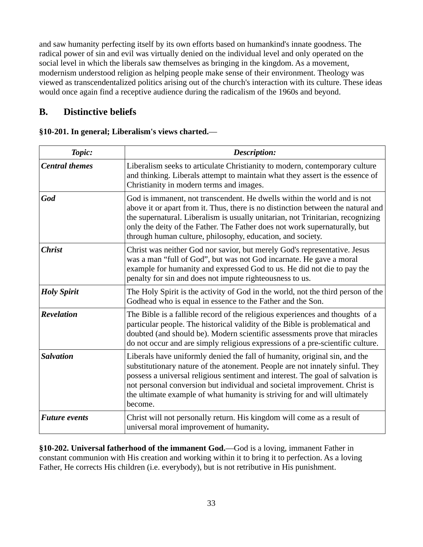and saw humanity perfecting itself by its own efforts based on humankind's innate goodness. The radical power of sin and evil was virtually denied on the individual level and only operated on the social level in which the liberals saw themselves as bringing in the kingdom. As a movement, modernism understood religion as helping people make sense of their environment. Theology was viewed as transcendentalized politics arising out of the church's interaction with its culture. These ideas would once again find a receptive audience during the radicalism of the 1960s and beyond.

#### **B. Distinctive beliefs**

#### **§10-201. In general; Liberalism's views charted.**—

| Topic:                | Description:                                                                                                                                                                                                                                                                                                                                                                                                        |
|-----------------------|---------------------------------------------------------------------------------------------------------------------------------------------------------------------------------------------------------------------------------------------------------------------------------------------------------------------------------------------------------------------------------------------------------------------|
| <b>Central themes</b> | Liberalism seeks to articulate Christianity to modern, contemporary culture<br>and thinking. Liberals attempt to maintain what they assert is the essence of<br>Christianity in modern terms and images.                                                                                                                                                                                                            |
| God                   | God is immanent, not transcendent. He dwells within the world and is not<br>above it or apart from it. Thus, there is no distinction between the natural and<br>the supernatural. Liberalism is usually unitarian, not Trinitarian, recognizing<br>only the deity of the Father. The Father does not work supernaturally, but<br>through human culture, philosophy, education, and society.                         |
| <b>Christ</b>         | Christ was neither God nor savior, but merely God's representative. Jesus<br>was a man "full of God", but was not God incarnate. He gave a moral<br>example for humanity and expressed God to us. He did not die to pay the<br>penalty for sin and does not impute righteousness to us.                                                                                                                             |
| <b>Holy Spirit</b>    | The Holy Spirit is the activity of God in the world, not the third person of the<br>Godhead who is equal in essence to the Father and the Son.                                                                                                                                                                                                                                                                      |
| <b>Revelation</b>     | The Bible is a fallible record of the religious experiences and thoughts of a<br>particular people. The historical validity of the Bible is problematical and<br>doubted (and should be). Modern scientific assessments prove that miracles<br>do not occur and are simply religious expressions of a pre-scientific culture.                                                                                       |
| <b>Salvation</b>      | Liberals have uniformly denied the fall of humanity, original sin, and the<br>substitutionary nature of the atonement. People are not innately sinful. They<br>possess a universal religious sentiment and interest. The goal of salvation is<br>not personal conversion but individual and societal improvement. Christ is<br>the ultimate example of what humanity is striving for and will ultimately<br>become. |
| <b>Future events</b>  | Christ will not personally return. His kingdom will come as a result of<br>universal moral improvement of humanity.                                                                                                                                                                                                                                                                                                 |

**§10-202. Universal fatherhood of the immanent God.**—God is a loving, immanent Father in constant communion with His creation and working within it to bring it to perfection. As a loving Father, He corrects His children (i.e. everybody), but is not retributive in His punishment.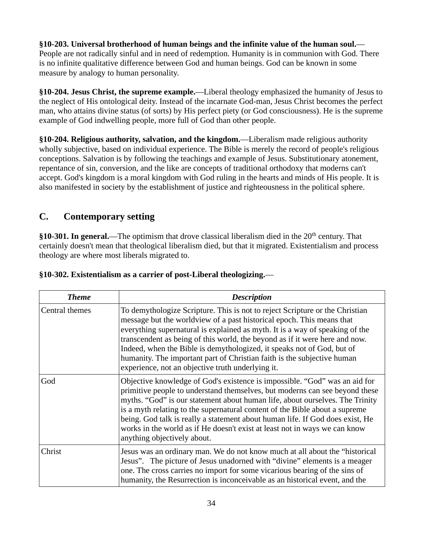**§10-203. Universal brotherhood of human beings and the infinite value of the human soul.**— People are not radically sinful and in need of redemption. Humanity is in communion with God. There is no infinite qualitative difference between God and human beings. God can be known in some measure by analogy to human personality.

**§10-204. Jesus Christ, the supreme example.**—Liberal theology emphasized the humanity of Jesus to the neglect of His ontological deity. Instead of the incarnate God-man, Jesus Christ becomes the perfect man, who attains divine status (of sorts) by His perfect piety (or God consciousness). He is the supreme example of God indwelling people, more full of God than other people.

**§10-204. Religious authority, salvation, and the kingdom.**—Liberalism made religious authority wholly subjective, based on individual experience. The Bible is merely the record of people's religious conceptions. Salvation is by following the teachings and example of Jesus. Substitutionary atonement, repentance of sin, conversion, and the like are concepts of traditional orthodoxy that moderns can't accept. God's kingdom is a moral kingdom with God ruling in the hearts and minds of His people. It is also manifested in society by the establishment of justice and righteousness in the political sphere.

## **C. Contemporary setting**

**§10-301. In general.—The optimism that drove classical liberalism died in the 20<sup>th</sup> century. That** certainly doesn't mean that theological liberalism died, but that it migrated. Existentialism and process theology are where most liberals migrated to.

| <b>Theme</b>   | <b>Description</b>                                                                                                                                                                                                                                                                                                                                                                                                                                                                                                             |
|----------------|--------------------------------------------------------------------------------------------------------------------------------------------------------------------------------------------------------------------------------------------------------------------------------------------------------------------------------------------------------------------------------------------------------------------------------------------------------------------------------------------------------------------------------|
| Central themes | To demythologize Scripture. This is not to reject Scripture or the Christian<br>message but the worldview of a past historical epoch. This means that<br>everything supernatural is explained as myth. It is a way of speaking of the<br>transcendent as being of this world, the beyond as if it were here and now.<br>Indeed, when the Bible is demythologized, it speaks not of God, but of<br>humanity. The important part of Christian faith is the subjective human<br>experience, not an objective truth underlying it. |
| God            | Objective knowledge of God's existence is impossible. "God" was an aid for<br>primitive people to understand themselves, but moderns can see beyond these<br>myths. "God" is our statement about human life, about ourselves. The Trinity<br>is a myth relating to the supernatural content of the Bible about a supreme<br>being. God talk is really a statement about human life. If God does exist, He<br>works in the world as if He doesn't exist at least not in ways we can know<br>anything objectively about.         |
| Christ         | Jesus was an ordinary man. We do not know much at all about the "historical"<br>Jesus". The picture of Jesus unadorned with "divine" elements is a meager<br>one. The cross carries no import for some vicarious bearing of the sins of<br>humanity, the Resurrection is inconceivable as an historical event, and the                                                                                                                                                                                                         |

#### **§10-302. Existentialism as a carrier of post-Liberal theologizing.**—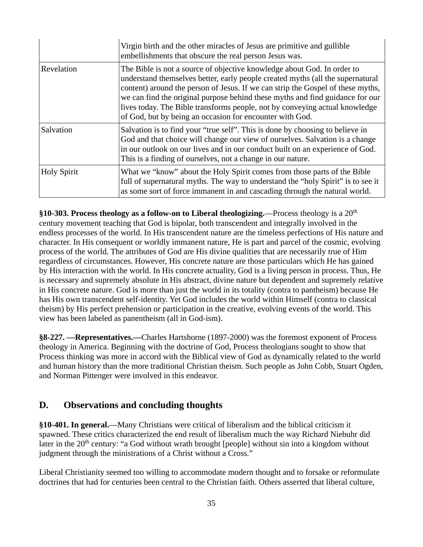|                    | Virgin birth and the other miracles of Jesus are primitive and gullible<br>embellishments that obscure the real person Jesus was.                                                                                                                                                                                                                                                                                                                                        |
|--------------------|--------------------------------------------------------------------------------------------------------------------------------------------------------------------------------------------------------------------------------------------------------------------------------------------------------------------------------------------------------------------------------------------------------------------------------------------------------------------------|
| Revelation         | The Bible is not a source of objective knowledge about God. In order to<br>understand themselves better, early people created myths (all the supernatural<br>content) around the person of Jesus. If we can strip the Gospel of these myths,<br>we can find the original purpose behind these myths and find guidance for our<br>lives today. The Bible transforms people, not by conveying actual knowledge<br>of God, but by being an occasion for encounter with God. |
| Salvation          | Salvation is to find your "true self". This is done by choosing to believe in<br>God and that choice will change our view of ourselves. Salvation is a change<br>in our outlook on our lives and in our conduct built on an experience of God.<br>This is a finding of ourselves, not a change in our nature.                                                                                                                                                            |
| <b>Holy Spirit</b> | What we "know" about the Holy Spirit comes from those parts of the Bible<br>full of supernatural myths. The way to understand the "holy Spirit" is to see it<br>as some sort of force immanent in and cascading through the natural world.                                                                                                                                                                                                                               |

**§10-303. Process theology as a follow-on to Liberal theologizing.**—Process theology is a 20th century movement teaching that God is bipolar, both transcendent and integrally involved in the endless processes of the world. In His transcendent nature are the timeless perfections of His nature and character. In His consequent or worldly immanent nature, He is part and parcel of the cosmic, evolving process of the world. The attributes of God are His divine qualities that are necessarily true of Him regardless of circumstances. However, His concrete nature are those particulars which He has gained by His interaction with the world. In His concrete actuality, God is a living person in process. Thus, He is necessary and supremely absolute in His abstract, divine nature but dependent and supremely relative in His concrete nature. God is more than just the world in its totality (contra to pantheism) because He has His own transcendent self-identity. Yet God includes the world within Himself (contra to classical theism) by His perfect prehension or participation in the creative, evolving events of the world. This view has been labeled as panentheism (all in God-ism).

**§8-227. —Representatives.—**Charles Hartshorne (1897-2000) was the foremost exponent of Process theology in America. Beginning with the doctrine of God, Process theologians sought to show that Process thinking was more in accord with the Biblical view of God as dynamically related to the world and human history than the more traditional Christian theism. Such people as John Cobb, Stuart Ogden, and Norman Pittenger were involved in this endeavor.

## **D. Observations and concluding thoughts**

**§10-401. In general.**—Many Christians were critical of liberalism and the biblical criticism it spawned. These critics characterized the end result of liberalism much the way Richard Niebuhr did later in the 20<sup>th</sup> century: "a God without wrath brought [people] without sin into a kingdom without judgment through the ministrations of a Christ without a Cross."

Liberal Christianity seemed too willing to accommodate modern thought and to forsake or reformulate doctrines that had for centuries been central to the Christian faith. Others asserted that liberal culture,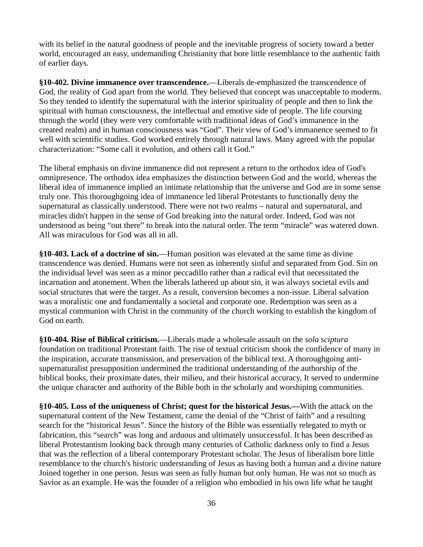with its belief in the natural goodness of people and the inevitable progress of society toward a better world, encouraged an easy, undemanding Christianity that bore little resemblance to the authentic faith of earlier days.

**§10-402. Divine immanence over transcendence.**—Liberals de-emphasized the transcendence of God, the reality of God apart from the world. They believed that concept was unacceptable to moderns. So they tended to identify the supernatural with the interior spirituality of people and then to link the spiritual with human consciousness, the intellectual and emotive side of people. The life coursing through the world (they were very comfortable with traditional ideas of God's immanence in the created realm) and in human consciousness was "God". Their view of God's immanence seemed to fit well with scientific studies. God worked entirely through natural laws. Many agreed with the popular characterization: "Some call it evolution, and others call it God."

The liberal emphasis on divine immanence did not represent a return to the orthodox idea of God's omnipresence. The orthodox idea emphasizes the distinction between God and the world, whereas the liberal idea of immanence implied an intimate relationship that the universe and God are in some sense truly one. This thoroughgoing idea of immanence led liberal Protestants to functionally deny the supernatural as classically understood. There were not two realms – natural and supernatural, and miracles didn't happen in the sense of God breaking into the natural order. Indeed, God was not understood as being "out there" to break into the natural order. The term "miracle" was watered down. All was miraculous for God was all in all.

**§10-403. Lack of a doctrine of sin.**—Human position was elevated at the same time as divine transcendence was denied. Humans were not seen as inherently sinful and separated from God. Sin on the individual level was seen as a minor peccadillo rather than a radical evil that necessitated the incarnation and atonement. When the liberals lathered up about sin, it was always societal evils and social structures that were the target. As a result, conversion becomes a non-issue. Liberal salvation was a moralistic one and fundamentally a societal and corporate one. Redemption was seen as a mystical communion with Christ in the community of the church working to establish the kingdom of God on earth.

**§10-404. Rise of Biblical criticism.**—Liberals made a wholesale assault on the *sola sciptura* foundation on traditional Protestant faith. The rise of textual criticism shook the confidence of many in the inspiration, accurate transmission, and preservation of the biblical text. A thoroughgoing antisupernaturalist presupposition undermined the traditional understanding of the authorship of the biblical books, their proximate dates, their milieu, and their historical accuracy, It served to undermine the unique character and authority of the Bible both in the scholarly and worshiping communities.

**§10-405. Loss of the uniqueness of Christ; quest for the historical Jesus.***—*With the attack on the supernatural content of the New Testament, came the denial of the "Christ of faith" and a resulting search for the "historical Jesus". Since the history of the Bible was essentially relegated to myth or fabrication, this "search" was long and arduous and ultimately unsuccessful. It has been described as liberal Protestantism looking back through many centuries of Catholic darkness only to find a Jesus that was the reflection of a liberal contemporary Protestant scholar. The Jesus of liberalism bore little resemblance to the church's historic understanding of Jesus as having both a human and a divine nature Joined together in one person. Jesus was seen as fully human but only human. He was not so much as Savior as an example. He was the founder of a religion who embodied in his own life what he taught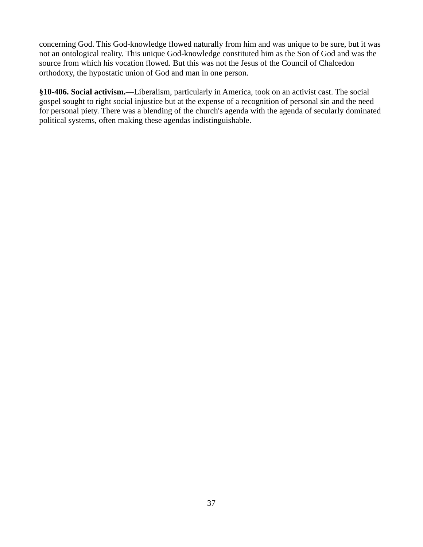concerning God. This God-knowledge flowed naturally from him and was unique to be sure, but it was not an ontological reality. This unique God-knowledge constituted him as the Son of God and was the source from which his vocation flowed. But this was not the Jesus of the Council of Chalcedon orthodoxy, the hypostatic union of God and man in one person.

**§10-406. Social activism.**—Liberalism, particularly in America, took on an activist cast. The social gospel sought to right social injustice but at the expense of a recognition of personal sin and the need for personal piety. There was a blending of the church's agenda with the agenda of secularly dominated political systems, often making these agendas indistinguishable.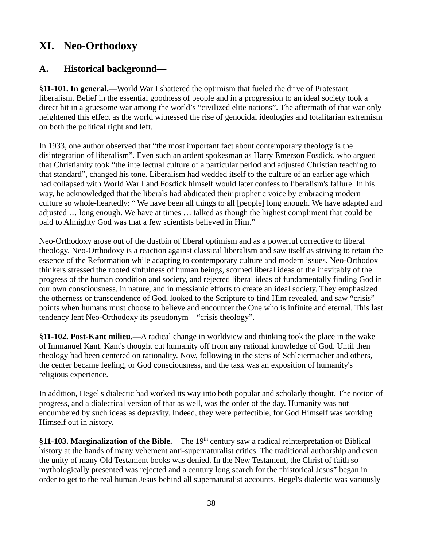## **XI. Neo-Orthodoxy**

## **A. Historical background—**

**§11-101. In general.—**World War I shattered the optimism that fueled the drive of Protestant liberalism. Belief in the essential goodness of people and in a progression to an ideal society took a direct hit in a gruesome war among the world's "civilized elite nations". The aftermath of that war only heightened this effect as the world witnessed the rise of genocidal ideologies and totalitarian extremism on both the political right and left.

In 1933, one author observed that "the most important fact about contemporary theology is the disintegration of liberalism". Even such an ardent spokesman as Harry Emerson Fosdick, who argued that Christianity took "the intellectual culture of a particular period and adjusted Christian teaching to that standard", changed his tone. Liberalism had wedded itself to the culture of an earlier age which had collapsed with World War I and Fosdick himself would later confess to liberalism's failure. In his way, he acknowledged that the liberals had abdicated their prophetic voice by embracing modern culture so whole-heartedly: " We have been all things to all [people] long enough. We have adapted and adjusted … long enough. We have at times … talked as though the highest compliment that could be paid to Almighty God was that a few scientists believed in Him."

Neo-Orthodoxy arose out of the dustbin of liberal optimism and as a powerful corrective to liberal theology. Neo-Orthodoxy is a reaction against classical liberalism and saw itself as striving to retain the essence of the Reformation while adapting to contemporary culture and modern issues. Neo-Orthodox thinkers stressed the rooted sinfulness of human beings, scorned liberal ideas of the inevitably of the progress of the human condition and society, and rejected liberal ideas of fundamentally finding God in our own consciousness, in nature, and in messianic efforts to create an ideal society. They emphasized the otherness or transcendence of God, looked to the Scripture to find Him revealed, and saw "crisis" points when humans must choose to believe and encounter the One who is infinite and eternal. This last tendency lent Neo-Orthodoxy its pseudonym – "crisis theology".

**§11-102. Post-Kant milieu.—**A radical change in worldview and thinking took the place in the wake of Immanuel Kant. Kant's thought cut humanity off from any rational knowledge of God. Until then theology had been centered on rationality. Now, following in the steps of Schleiermacher and others, the center became feeling, or God consciousness, and the task was an exposition of humanity's religious experience.

In addition, Hegel's dialectic had worked its way into both popular and scholarly thought. The notion of progress, and a dialectical version of that as well, was the order of the day. Humanity was not encumbered by such ideas as depravity. Indeed, they were perfectible, for God Himself was working Himself out in history.

**§11-103. Marginalization of the Bible.**—The 19th century saw a radical reinterpretation of Biblical history at the hands of many vehement anti-supernaturalist critics. The traditional authorship and even the unity of many Old Testament books was denied. In the New Testament, the Christ of faith so mythologically presented was rejected and a century long search for the "historical Jesus" began in order to get to the real human Jesus behind all supernaturalist accounts. Hegel's dialectic was variously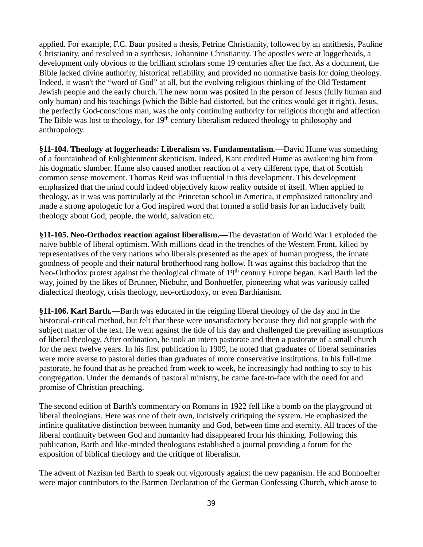applied. For example, F.C. Baur posited a thesis, Petrine Christianity, followed by an antithesis, Pauline Christianity, and resolved in a synthesis, Johannine Christianity. The apostles were at loggerheads, a development only obvious to the brilliant scholars some 19 centuries after the fact. As a document, the Bible lacked divine authority, historical reliability, and provided no normative basis for doing theology. Indeed, it wasn't the "word of God" at all, but the evolving religious thinking of the Old Testament Jewish people and the early church. The new norm was posited in the person of Jesus (fully human and only human) and his teachings (which the Bible had distorted, but the critics would get it right). Jesus, the perfectly God-conscious man, was the only continuing authority for religious thought and affection. The Bible was lost to theology, for  $19<sup>th</sup>$  century liberalism reduced theology to philosophy and anthropology.

**§11-104. Theology at loggerheads: Liberalism vs. Fundamentalism***.*—David Hume was something of a fountainhead of Enlightenment skepticism. Indeed, Kant credited Hume as awakening him from his dogmatic slumber. Hume also caused another reaction of a very different type, that of Scottish common sense movement. Thomas Reid was influential in this development. This development emphasized that the mind could indeed objectively know reality outside of itself. When applied to theology, as it was was particularly at the Princeton school in America, it emphasized rationality and made a strong apologetic for a God inspired word that formed a solid basis for an inductively built theology about God, people, the world, salvation etc.

**§11-105. Neo-Orthodox reaction against liberalism.***—*The devastation of World War I exploded the naive bubble of liberal optimism. With millions dead in the trenches of the Western Front, killed by representatives of the very nations who liberals presented as the apex of human progress, the innate goodness of people and their natural brotherhood rang hollow. It was against this backdrop that the Neo-Orthodox protest against the theological climate of 19<sup>th</sup> century Europe began. Karl Barth led the way, joined by the likes of Brunner, Niebuhr, and Bonhoeffer, pioneering what was variously called dialectical theology, crisis theology, neo-orthodoxy, or even Barthianism.

**§11-106. Karl Barth***.—*Barth was educated in the reigning liberal theology of the day and in the historical-critical method, but felt that these were unsatisfactory because they did not grapple with the subject matter of the text. He went against the tide of his day and challenged the prevailing assumptions of liberal theology. After ordination, he took an intern pastorate and then a pastorate of a small church for the next twelve years. In his first publication in 1909, he noted that graduates of liberal seminaries were more averse to pastoral duties than graduates of more conservative institutions. In his full-time pastorate, he found that as he preached from week to week, he increasingly had nothing to say to his congregation. Under the demands of pastoral ministry, he came face-to-face with the need for and promise of Christian preaching.

The second edition of Barth's commentary on Romans in 1922 fell like a bomb on the playground of liberal theologians. Here was one of their own, incisively critiquing the system. He emphasized the infinite qualitative distinction between humanity and God, between time and eternity. All traces of the liberal continuity between God and humanity had disappeared from his thinking. Following this publication, Barth and like-minded theologians established a journal providing a forum for the exposition of biblical theology and the critique of liberalism.

The advent of Nazism led Barth to speak out vigorously against the new paganism. He and Bonhoeffer were major contributors to the Barmen Declaration of the German Confessing Church, which arose to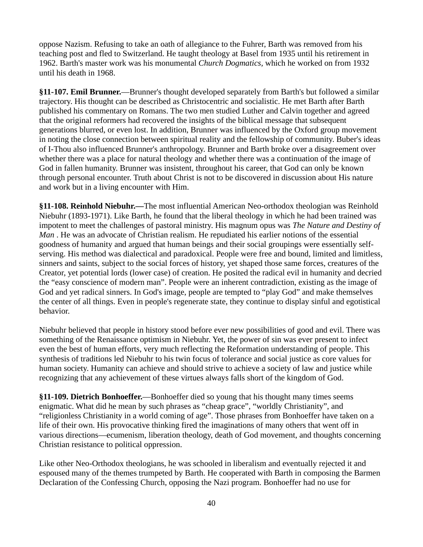oppose Nazism. Refusing to take an oath of allegiance to the Fuhrer, Barth was removed from his teaching post and fled to Switzerland. He taught theology at Basel from 1935 until his retirement in 1962. Barth's master work was his monumental *Church Dogmatics,* which he worked on from 1932 until his death in 1968.

**§11-107. Emil Brunner.**—Brunner's thought developed separately from Barth's but followed a similar trajectory. His thought can be described as Christocentric and socialistic. He met Barth after Barth published his commentary on Romans. The two men studied Luther and Calvin together and agreed that the original reformers had recovered the insights of the biblical message that subsequent generations blurred, or even lost. In addition, Brunner was influenced by the Oxford group movement in noting the close connection between spiritual reality and the fellowship of community. Buber's ideas of I-Thou also influenced Brunner's anthropology. Brunner and Barth broke over a disagreement over whether there was a place for natural theology and whether there was a continuation of the image of God in fallen humanity. Brunner was insistent, throughout his career, that God can only be known through personal encounter. Truth about Christ is not to be discovered in discussion about His nature and work but in a living encounter with Him.

**§11-108. Reinhold Niebuhr.***—*The most influential American Neo-orthodox theologian was Reinhold Niebuhr (1893-1971). Like Barth, he found that the liberal theology in which he had been trained was impotent to meet the challenges of pastoral ministry. His magnum opus was *The Nature and Destiny of Man* . He was an advocate of Christian realism. He repudiated his earlier notions of the essential goodness of humanity and argued that human beings and their social groupings were essentially selfserving. His method was dialectical and paradoxical. People were free and bound, limited and limitless, sinners and saints, subject to the social forces of history, yet shaped those same forces, creatures of the Creator, yet potential lords (lower case) of creation. He posited the radical evil in humanity and decried the "easy conscience of modern man". People were an inherent contradiction, existing as the image of God and yet radical sinners. In God's image, people are tempted to "play God" and make themselves the center of all things. Even in people's regenerate state, they continue to display sinful and egotistical behavior.

Niebuhr believed that people in history stood before ever new possibilities of good and evil. There was something of the Renaissance optimism in Niebuhr. Yet, the power of sin was ever present to infect even the best of human efforts, very much reflecting the Reformation understanding of people. This synthesis of traditions led Niebuhr to his twin focus of tolerance and social justice as core values for human society. Humanity can achieve and should strive to achieve a society of law and justice while recognizing that any achievement of these virtues always falls short of the kingdom of God.

**§11-109. Dietrich Bonhoeffer.**—Bonhoeffer died so young that his thought many times seems enigmatic. What did he mean by such phrases as "cheap grace", "worldly Christianity", and "religionless Christianity in a world coming of age". Those phrases from Bonhoeffer have taken on a life of their own. His provocative thinking fired the imaginations of many others that went off in various directions—ecumenism, liberation theology, death of God movement, and thoughts concerning Christian resistance to political oppression.

Like other Neo-Orthodox theologians, he was schooled in liberalism and eventually rejected it and espoused many of the themes trumpeted by Barth. He cooperated with Barth in composing the Barmen Declaration of the Confessing Church, opposing the Nazi program. Bonhoeffer had no use for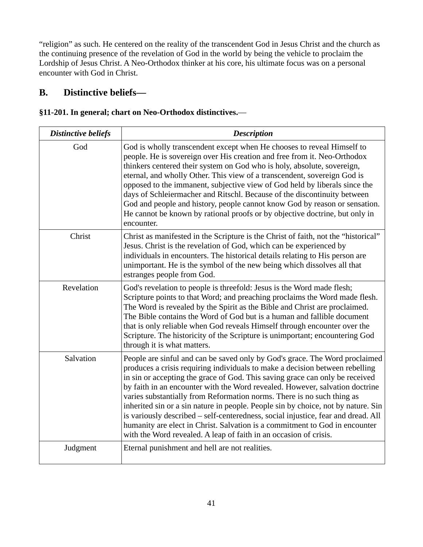"religion" as such. He centered on the reality of the transcendent God in Jesus Christ and the church as the continuing presence of the revelation of God in the world by being the vehicle to proclaim the Lordship of Jesus Christ. A Neo-Orthodox thinker at his core, his ultimate focus was on a personal encounter with God in Christ.

## **B. Distinctive beliefs—**

#### **§11-201. In general; chart on Neo-Orthodox distinctives.**—

| <b>Distinctive beliefs</b> | <b>Description</b>                                                                                                                                                                                                                                                                                                                                                                                                                                                                                                                                                                                                                                                                                                                  |
|----------------------------|-------------------------------------------------------------------------------------------------------------------------------------------------------------------------------------------------------------------------------------------------------------------------------------------------------------------------------------------------------------------------------------------------------------------------------------------------------------------------------------------------------------------------------------------------------------------------------------------------------------------------------------------------------------------------------------------------------------------------------------|
| God                        | God is wholly transcendent except when He chooses to reveal Himself to<br>people. He is sovereign over His creation and free from it. Neo-Orthodox<br>thinkers centered their system on God who is holy, absolute, sovereign,<br>eternal, and wholly Other. This view of a transcendent, sovereign God is<br>opposed to the immanent, subjective view of God held by liberals since the<br>days of Schleiermacher and Ritschl. Because of the discontinuity between<br>God and people and history, people cannot know God by reason or sensation.<br>He cannot be known by rational proofs or by objective doctrine, but only in<br>encounter.                                                                                      |
| Christ                     | Christ as manifested in the Scripture is the Christ of faith, not the "historical"<br>Jesus. Christ is the revelation of God, which can be experienced by<br>individuals in encounters. The historical details relating to His person are<br>unimportant. He is the symbol of the new being which dissolves all that<br>estranges people from God.                                                                                                                                                                                                                                                                                                                                                                                  |
| Revelation                 | God's revelation to people is threefold: Jesus is the Word made flesh;<br>Scripture points to that Word; and preaching proclaims the Word made flesh.<br>The Word is revealed by the Spirit as the Bible and Christ are proclaimed.<br>The Bible contains the Word of God but is a human and fallible document<br>that is only reliable when God reveals Himself through encounter over the<br>Scripture. The historicity of the Scripture is unimportant; encountering God<br>through it is what matters.                                                                                                                                                                                                                          |
| Salvation                  | People are sinful and can be saved only by God's grace. The Word proclaimed<br>produces a crisis requiring individuals to make a decision between rebelling<br>in sin or accepting the grace of God. This saving grace can only be received<br>by faith in an encounter with the Word revealed. However, salvation doctrine<br>varies substantially from Reformation norms. There is no such thing as<br>inherited sin or a sin nature in people. People sin by choice, not by nature. Sin<br>is variously described - self-centeredness, social injustice, fear and dread. All<br>humanity are elect in Christ. Salvation is a commitment to God in encounter<br>with the Word revealed. A leap of faith in an occasion of crisis. |
| Judgment                   | Eternal punishment and hell are not realities.                                                                                                                                                                                                                                                                                                                                                                                                                                                                                                                                                                                                                                                                                      |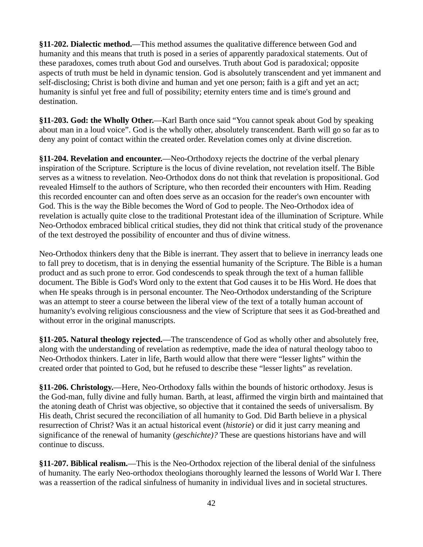**§11-202. Dialectic method.**—This method assumes the qualitative difference between God and humanity and this means that truth is posed in a series of apparently paradoxical statements. Out of these paradoxes, comes truth about God and ourselves. Truth about God is paradoxical; opposite aspects of truth must be held in dynamic tension. God is absolutely transcendent and yet immanent and self-disclosing; Christ is both divine and human and yet one person; faith is a gift and yet an act; humanity is sinful yet free and full of possibility; eternity enters time and is time's ground and destination.

**§11-203. God: the Wholly Other.**—Karl Barth once said "You cannot speak about God by speaking about man in a loud voice". God is the wholly other, absolutely transcendent. Barth will go so far as to deny any point of contact within the created order. Revelation comes only at divine discretion.

**§11-204. Revelation and encounter.**—Neo-Orthodoxy rejects the doctrine of the verbal plenary inspiration of the Scripture. Scripture is the locus of divine revelation, not revelation itself. The Bible serves as a witness to revelation. Neo-Orthodox dons do not think that revelation is propositional. God revealed Himself to the authors of Scripture, who then recorded their encounters with Him. Reading this recorded encounter can and often does serve as an occasion for the reader's own encounter with God. This is the way the Bible becomes the Word of God to people. The Neo-Orthodox idea of revelation is actually quite close to the traditional Protestant idea of the illumination of Scripture. While Neo-Orthodox embraced biblical critical studies, they did not think that critical study of the provenance of the text destroyed the possibility of encounter and thus of divine witness.

Neo-Orthodox thinkers deny that the Bible is inerrant. They assert that to believe in inerrancy leads one to fall prey to docetism, that is in denying the essential humanity of the Scripture. The Bible is a human product and as such prone to error. God condescends to speak through the text of a human fallible document. The Bible is God's Word only to the extent that God causes it to be His Word. He does that when He speaks through is in personal encounter. The Neo-Orthodox understanding of the Scripture was an attempt to steer a course between the liberal view of the text of a totally human account of humanity's evolving religious consciousness and the view of Scripture that sees it as God-breathed and without error in the original manuscripts.

**§11-205. Natural theology rejected.**—The transcendence of God as wholly other and absolutely free, along with the understanding of revelation as redemptive, made the idea of natural theology taboo to Neo-Orthodox thinkers. Later in life, Barth would allow that there were "lesser lights" within the created order that pointed to God, but he refused to describe these "lesser lights" as revelation.

**§11-206. Christology.**—Here, Neo-Orthodoxy falls within the bounds of historic orthodoxy. Jesus is the God-man, fully divine and fully human. Barth, at least, affirmed the virgin birth and maintained that the atoning death of Christ was objective, so objective that it contained the seeds of universalism. By His death, Christ secured the reconciliation of all humanity to God. Did Barth believe in a physical resurrection of Christ? Was it an actual historical event (*historie*) or did it just carry meaning and significance of the renewal of humanity (*geschichte)?* These are questions historians have and will continue to discuss.

**§11-207. Biblical realism.**—This is the Neo-Orthodox rejection of the liberal denial of the sinfulness of humanity. The early Neo-orthodox theologians thoroughly learned the lessons of World War I. There was a reassertion of the radical sinfulness of humanity in individual lives and in societal structures.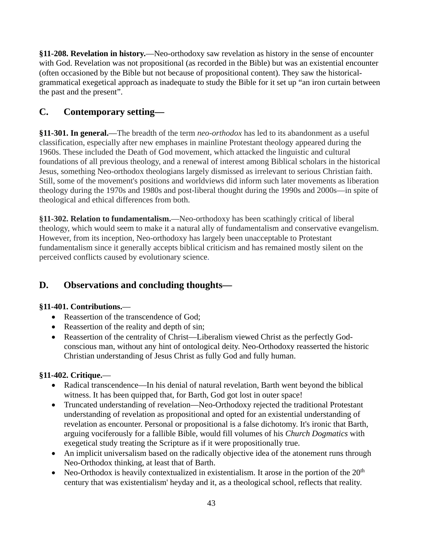**§11-208. Revelation in history.**—Neo-orthodoxy saw revelation as history in the sense of encounter with God. Revelation was not propositional (as recorded in the Bible) but was an existential encounter (often occasioned by the Bible but not because of propositional content). They saw the historicalgrammatical exegetical approach as inadequate to study the Bible for it set up "an iron curtain between the past and the present".

## **C. Contemporary setting—**

**§11-301. In general.**—The breadth of the term *neo-orthodox* has led to its abandonment as a useful classification, especially after new emphases in mainline Protestant theology appeared during the 1960s. These included the Death of God movement, which attacked the linguistic and cultural foundations of all previous theology, and a renewal of interest among Biblical scholars in the historical Jesus, something Neo-orthodox theologians largely dismissed as irrelevant to serious Christian faith. Still, some of the movement's positions and worldviews did inform such later movements as liberation theology during the 1970s and 1980s and post-liberal thought during the 1990s and 2000s—in spite of theological and ethical differences from both.

**§11-302. Relation to fundamentalism.**—Neo-orthodoxy has been scathingly critical of liberal theology, which would seem to make it a natural ally of fundamentalism and conservative evangelism. However, from its inception, Neo-orthodoxy has largely been unacceptable to Protestant fundamentalism since it generally accepts biblical criticism and has remained mostly silent on the perceived conflicts caused by evolutionary science.

## **D. Observations and concluding thoughts—**

#### **§11-401. Contributions.**—

- Reassertion of the transcendence of God;
- Reassertion of the reality and depth of sin;
- Reassertion of the centrality of Christ—Liberalism viewed Christ as the perfectly Godconscious man, without any hint of ontological deity. Neo-Orthodoxy reasserted the historic Christian understanding of Jesus Christ as fully God and fully human.

#### **§11-402. Critique.**—

- Radical transcendence—In his denial of natural revelation, Barth went beyond the biblical witness. It has been quipped that, for Barth, God got lost in outer space!
- Truncated understanding of revelation—Neo-Orthodoxy rejected the traditional Protestant understanding of revelation as propositional and opted for an existential understanding of revelation as encounter. Personal or propositional is a false dichotomy. It's ironic that Barth, arguing vociferously for a fallible Bible, would fill volumes of his *Church Dogmatics* with exegetical study treating the Scripture as if it were propositionally true.
- An implicit universalism based on the radically objective idea of the atonement runs through Neo-Orthodox thinking, at least that of Barth.
- Neo-Orthodox is heavily contextualized in existentialism. It arose in the portion of the  $20<sup>th</sup>$ century that was existentialism' heyday and it, as a theological school, reflects that reality.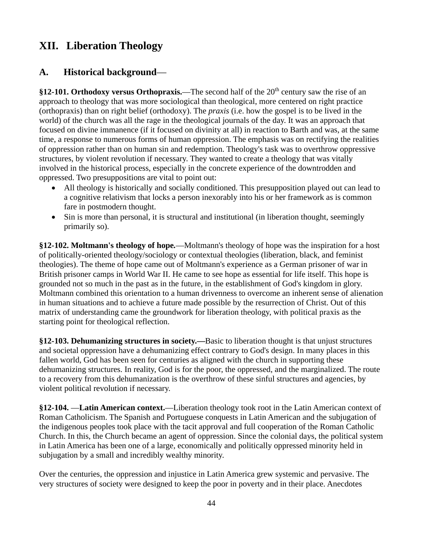## **XII. Liberation Theology**

## **A. Historical background**—

**§12-101. Orthodoxy versus Orthopraxis.—The second half of the 20<sup>th</sup> century saw the rise of an** approach to theology that was more sociological than theological, more centered on right practice (orthopraxis) than on right belief (orthodoxy). The *praxis* (i.e. how the gospel is to be lived in the world) of the church was all the rage in the theological journals of the day. It was an approach that focused on divine immanence (if it focused on divinity at all) in reaction to Barth and was, at the same time, a response to numerous forms of human oppression. The emphasis was on rectifying the realities of oppression rather than on human sin and redemption. Theology's task was to overthrow oppressive structures, by violent revolution if necessary. They wanted to create a theology that was vitally involved in the historical process, especially in the concrete experience of the downtrodden and oppressed. Two presuppositions are vital to point out:

- All theology is historically and socially conditioned. This presupposition played out can lead to a cognitive relativism that locks a person inexorably into his or her framework as is common fare in postmodern thought.
- Sin is more than personal, it is structural and institutional (in liberation thought, seemingly primarily so).

**§12-102. Moltmann's theology of hope***.*—Moltmann's theology of hope was the inspiration for a host of politically-oriented theology/sociology or contextual theologies (liberation, black, and feminist theologies). The theme of hope came out of Moltmann's experience as a German prisoner of war in British prisoner camps in World War II. He came to see hope as essential for life itself. This hope is grounded not so much in the past as in the future, in the establishment of God's kingdom in glory. Moltmann combined this orientation to a human drivenness to overcome an inherent sense of alienation in human situations and to achieve a future made possible by the resurrection of Christ. Out of this matrix of understanding came the groundwork for liberation theology, with political praxis as the starting point for theological reflection.

**§12-103. Dehumanizing structures in society.—**Basic to liberation thought is that unjust structures and societal oppression have a dehumanizing effect contrary to God's design. In many places in this fallen world, God has been seen for centuries as aligned with the church in supporting these dehumanizing structures. In reality, God is for the poor, the oppressed, and the marginalized. The route to a recovery from this dehumanization is the overthrow of these sinful structures and agencies, by violent political revolution if necessary.

**§12-104.** —**Latin American context.**—Liberation theology took root in the Latin American context of Roman Catholicism. The Spanish and Portuguese conquests in Latin American and the subjugation of the indigenous peoples took place with the tacit approval and full cooperation of the Roman Catholic Church. In this, the Church became an agent of oppression. Since the colonial days, the political system in Latin America has been one of a large, economically and politically oppressed minority held in subjugation by a small and incredibly wealthy minority.

Over the centuries, the oppression and injustice in Latin America grew systemic and pervasive. The very structures of society were designed to keep the poor in poverty and in their place. Anecdotes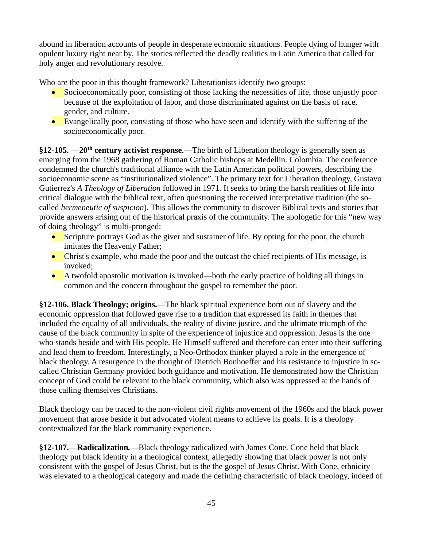abound in liberation accounts of people in desperate economic situations. People dying of hunger with opulent luxury right near by. The stories reflected the deadly realities in Latin America that called for holy anger and revolutionary resolve.

Who are the poor in this thought framework? Liberationists identify two groups:

- Socioeconomically poor, consisting of those lacking the necessities of life, those unjustly poor because of the exploitation of labor, and those discriminated against on the basis of race, gender, and culture.
- Evangelically poor, consisting of those who have seen and identify with the suffering of the socioeconomically poor.

**§12-105.** —**20th century activist response.***—*The birth of Liberation theology is generally seen as emerging from the 1968 gathering of Roman Catholic bishops at Medellin. Colombia. The conference condemned the church's traditional alliance with the Latin American political powers, describing the socioeconomic scene as "institutionalized violence". The primary text for Liberation theology, Gustavo Gutierrez's *A Theology of Liberation* followed in 1971. It seeks to bring the harsh realities of life into critical dialogue with the biblical text, often questioning the received interpretative tradition (the socalled *hermeneutic of suspicion*). This allows the community to discover Biblical texts and stories that provide answers arising out of the historical praxis of the community. The apologetic for this "new way of doing theology" is multi-pronged:

- Scripture portrays God as the giver and sustainer of life. By opting for the poor, the church imitates the Heavenly Father;
- Christ's example, who made the poor and the outcast the chief recipients of His message, is invoked;
- A twofold apostolic motivation is invoked—both the early practice of holding all things in common and the concern throughout the gospel to remember the poor.

**§12-106. Black Theology; origins.**—The black spiritual experience born out of slavery and the economic oppression that followed gave rise to a tradition that expressed its faith in themes that included the equality of all individuals, the reality of divine justice, and the ultimate triumph of the cause of the black community in spite of the experience of injustice and oppression. Jesus is the one who stands beside and with His people. He Himself suffered and therefore can enter into their suffering and lead them to freedom. Interestingly, a Neo-Orthodox thinker played a role in the emergence of black theology. A resurgence in the thought of Dietrich Bonhoeffer and his resistance to injustice in socalled Christian Germany provided both guidance and motivation. He demonstrated how the Christian concept of God could be relevant to the black community, which also was oppressed at the hands of those calling themselves Christians.

Black theology can be traced to the non-violent civil rights movement of the 1960s and the black power movement that arose beside it but advocated violent means to achieve its goals. It is a theology contextualized for the black community experience.

**§12-107.**—**Radicalization***.*—Black theology radicalized with James Cone. Cone held that black theology put black identity in a theological context, allegedly showing that black power is not only consistent with the gospel of Jesus Christ, but is the the gospel of Jesus Christ. With Cone, ethnicity was elevated to a theological category and made the defining characteristic of black theology, indeed of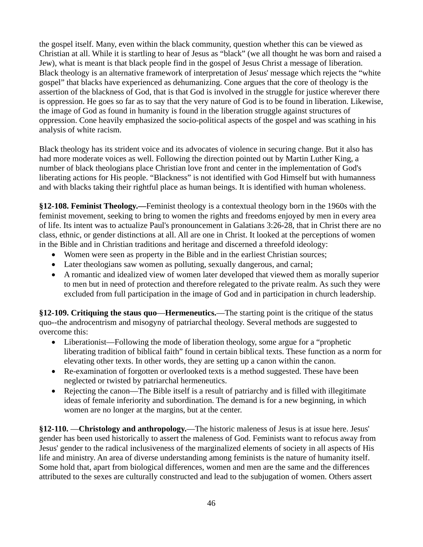the gospel itself. Many, even within the black community, question whether this can be viewed as Christian at all. While it is startling to hear of Jesus as "black" (we all thought he was born and raised a Jew), what is meant is that black people find in the gospel of Jesus Christ a message of liberation. Black theology is an alternative framework of interpretation of Jesus' message which rejects the "white gospel" that blacks have experienced as dehumanizing. Cone argues that the core of theology is the assertion of the blackness of God, that is that God is involved in the struggle for justice wherever there is oppression. He goes so far as to say that the very nature of God is to be found in liberation. Likewise, the image of God as found in humanity is found in the liberation struggle against structures of oppression. Cone heavily emphasized the socio-political aspects of the gospel and was scathing in his analysis of white racism.

Black theology has its strident voice and its advocates of violence in securing change. But it also has had more moderate voices as well. Following the direction pointed out by Martin Luther King, a number of black theologians place Christian love front and center in the implementation of God's liberating actions for His people. "Blackness" is not identified with God Himself but with humanness and with blacks taking their rightful place as human beings. It is identified with human wholeness.

**§12-108. Feminist Theology.—**Feminist theology is a contextual theology born in the 1960s with the feminist movement, seeking to bring to women the rights and freedoms enjoyed by men in every area of life. Its intent was to actualize Paul's pronouncement in Galatians 3:26-28, that in Christ there are no class, ethnic, or gender distinctions at all. All are one in Christ. It looked at the perceptions of women in the Bible and in Christian traditions and heritage and discerned a threefold ideology:

- Women were seen as property in the Bible and in the earliest Christian sources;
- Later theologians saw women as polluting, sexually dangerous, and carnal;
- A romantic and idealized view of women later developed that viewed them as morally superior to men but in need of protection and therefore relegated to the private realm. As such they were excluded from full participation in the image of God and in participation in church leadership.

**§12-109. Critiquing the staus quo**—**Hermeneutics.**—The starting point is the critique of the status quo--the androcentrism and misogyny of patriarchal theology. Several methods are suggested to overcome this:

- Liberationist—Following the mode of liberation theology, some argue for a "prophetic" liberating tradition of biblical faith" found in certain biblical texts. These function as a norm for elevating other texts. In other words, they are setting up a canon within the canon.
- Re-examination of forgotten or overlooked texts is a method suggested. These have been neglected or twisted by patriarchal hermeneutics.
- Rejecting the canon—The Bible itself is a result of patriarchy and is filled with illegitimate ideas of female inferiority and subordination. The demand is for a new beginning, in which women are no longer at the margins, but at the center.

**§12-110.** —**Christology and anthropology.**—The historic maleness of Jesus is at issue here. Jesus' gender has been used historically to assert the maleness of God. Feminists want to refocus away from Jesus' gender to the radical inclusiveness of the marginalized elements of society in all aspects of His life and ministry. An area of diverse understanding among feminists is the nature of humanity itself. Some hold that, apart from biological differences, women and men are the same and the differences attributed to the sexes are culturally constructed and lead to the subjugation of women. Others assert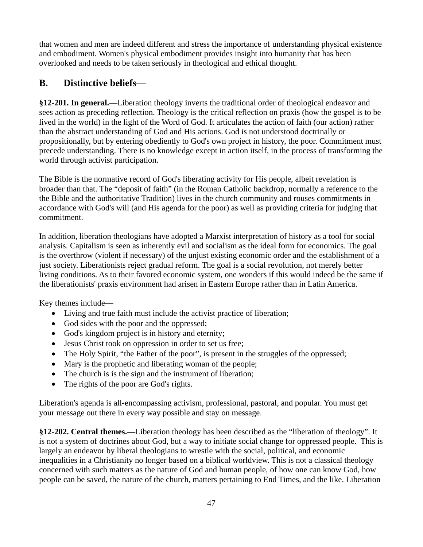that women and men are indeed different and stress the importance of understanding physical existence and embodiment. Women's physical embodiment provides insight into humanity that has been overlooked and needs to be taken seriously in theological and ethical thought.

## **B. Distinctive beliefs**—

**§12-201. In general.**—Liberation theology inverts the traditional order of theological endeavor and sees action as preceding reflection. Theology is the critical reflection on praxis (how the gospel is to be lived in the world) in the light of the Word of God. It articulates the action of faith (our action) rather than the abstract understanding of God and His actions. God is not understood doctrinally or propositionally, but by entering obediently to God's own project in history, the poor. Commitment must precede understanding. There is no knowledge except in action itself, in the process of transforming the world through activist participation.

The Bible is the normative record of God's liberating activity for His people, albeit revelation is broader than that. The "deposit of faith" (in the Roman Catholic backdrop, normally a reference to the the Bible and the authoritative Tradition) lives in the church community and rouses commitments in accordance with God's will (and His agenda for the poor) as well as providing criteria for judging that commitment.

In addition, liberation theologians have adopted a Marxist interpretation of history as a tool for social analysis. Capitalism is seen as inherently evil and socialism as the ideal form for economics. The goal is the overthrow (violent if necessary) of the unjust existing economic order and the establishment of a just society. Liberationists reject gradual reform. The goal is a social revolution, not merely better living conditions. As to their favored economic system, one wonders if this would indeed be the same if the liberationists' praxis environment had arisen in Eastern Europe rather than in Latin America.

Key themes include—

- Living and true faith must include the activist practice of liberation;
- God sides with the poor and the oppressed;
- God's kingdom project is in history and eternity;
- Jesus Christ took on oppression in order to set us free;
- The Holy Spirit, "the Father of the poor", is present in the struggles of the oppressed;
- Mary is the prophetic and liberating woman of the people;
- The church is is the sign and the instrument of liberation;
- The rights of the poor are God's rights.

Liberation's agenda is all-encompassing activism, professional, pastoral, and popular. You must get your message out there in every way possible and stay on message.

**§12-202. Central themes.***—*Liberation theology has been described as the "liberation of theology". It is not a system of doctrines about God, but a way to initiate social change for oppressed people. This is largely an endeavor by liberal theologians to wrestle with the social, political, and economic inequalities in a Christianity no longer based on a biblical worldview. This is not a classical theology concerned with such matters as the nature of God and human people, of how one can know God, how people can be saved, the nature of the church, matters pertaining to End Times, and the like. Liberation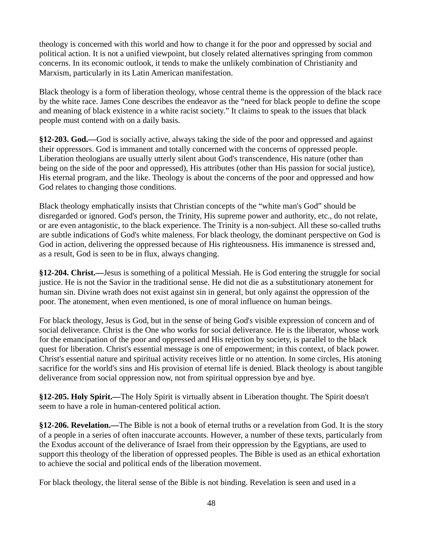theology is concerned with this world and how to change it for the poor and oppressed by social and political action. It is not a unified viewpoint, but closely related alternatives springing from common concerns. In its economic outlook, it tends to make the unlikely combination of Christianity and Marxism, particularly in its Latin American manifestation.

Black theology is a form of liberation theology, whose central theme is the oppression of the black race by the white race. James Cone describes the endeavor as the "need for black people to define the scope and meaning of black existence in a white racist society." It claims to speak to the issues that black people must contend with on a daily basis.

**§12-203. God.***—*God is socially active, always taking the side of the poor and oppressed and against their oppressors. God is immanent and totally concerned with the concerns of oppressed people. Liberation theologians are usually utterly silent about God's transcendence, His nature (other than being on the side of the poor and oppressed), His attributes (other than His passion for social justice), His eternal program, and the like. Theology is about the concerns of the poor and oppressed and how God relates to changing those conditions.

Black theology emphatically insists that Christian concepts of the "white man's God" should be disregarded or ignored. God's person, the Trinity, His supreme power and authority, etc., do not relate, or are even antagonistic, to the black experience. The Trinity is a non-subject. All these so-called truths are subtle indications of God's white maleness. For black theology, the dominant perspective on God is God in action, delivering the oppressed because of His righteousness. His immanence is stressed and, as a result, God is seen to be in flux, always changing.

**§12-204. Christ.***—*Jesus is something of a political Messiah. He is God entering the struggle for social justice. He is not the Savior in the traditional sense. He did not die as a substitutionary atonement for human sin. Divine wrath does not exist against sin in general, but only against the oppression of the poor. The atonement, when even mentioned, is one of moral influence on human beings.

For black theology, Jesus is God, but in the sense of being God's visible expression of concern and of social deliverance. Christ is the One who works for social deliverance. He is the liberator, whose work for the emancipation of the poor and oppressed and His rejection by society, is parallel to the black quest for liberation. Christ's essential message is one of empowerment; in this context, of black power. Christ's essential nature and spiritual activity receives little or no attention. In some circles, His atoning sacrifice for the world's sins and His provision of eternal life is denied. Black theology is about tangible deliverance from social oppression now, not from spiritual oppression bye and bye.

**§12-205. Holy Spirit.***—*The Holy Spirit is virtually absent in Liberation thought. The Spirit doesn't seem to have a role in human-centered political action.

**§12-206. Revelation.***—*The Bible is not a book of eternal truths or a revelation from God. It is the story of a people in a series of often inaccurate accounts. However, a number of these texts, particularly from the Exodus account of the deliverance of Israel from their oppression by the Egyptians, are used to support this theology of the liberation of oppressed peoples. The Bible is used as an ethical exhortation to achieve the social and political ends of the liberation movement.

For black theology, the literal sense of the Bible is not binding. Revelation is seen and used in a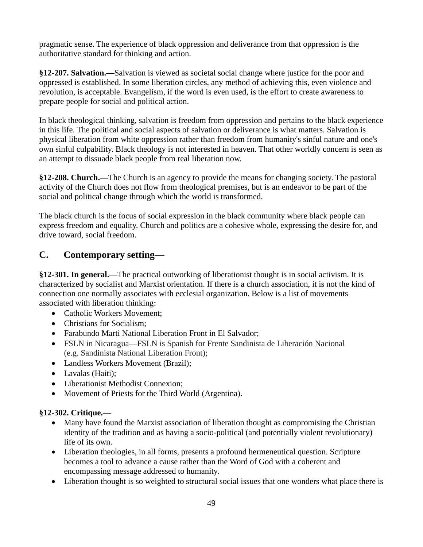pragmatic sense. The experience of black oppression and deliverance from that oppression is the authoritative standard for thinking and action.

**§12-207. Salvation.***—*Salvation is viewed as societal social change where justice for the poor and oppressed is established. In some liberation circles, any method of achieving this, even violence and revolution, is acceptable. Evangelism, if the word is even used, is the effort to create awareness to prepare people for social and political action.

In black theological thinking, salvation is freedom from oppression and pertains to the black experience in this life. The political and social aspects of salvation or deliverance is what matters. Salvation is physical liberation from white oppression rather than freedom from humanity's sinful nature and one's own sinful culpability. Black theology is not interested in heaven. That other worldly concern is seen as an attempt to dissuade black people from real liberation now.

**§12-208. Church.***—*The Church is an agency to provide the means for changing society. The pastoral activity of the Church does not flow from theological premises, but is an endeavor to be part of the social and political change through which the world is transformed.

The black church is the focus of social expression in the black community where black people can express freedom and equality. Church and politics are a cohesive whole, expressing the desire for, and drive toward, social freedom.

#### **C. Contemporary setting**—

**§12-301. In general.**—The practical outworking of liberationist thought is in social activism. It is characterized by socialist and Marxist orientation. If there is a church association, it is not the kind of connection one normally associates with ecclesial organization. Below is a list of movements associated with liberation thinking:

- Catholic Workers Movement:
- Christians for Socialism;
- Farabundo Marti National Liberation Front in El Salvador:
- FSLN in Nicaragua—FSLN is Spanish for Frente Sandinista de Liberación Nacional (e.g. Sandinista National Liberation Front);
- Landless Workers Movement (Brazil);
- Lavalas (Haiti);
- Liberationist Methodist Connexion;
- Movement of Priests for the Third World (Argentina).

#### **§12-302. Critique.**—

- Many have found the Marxist association of liberation thought as compromising the Christian identity of the tradition and as having a socio-political (and potentially violent revolutionary) life of its own.
- Liberation theologies, in all forms, presents a profound hermeneutical question. Scripture becomes a tool to advance a cause rather than the Word of God with a coherent and encompassing message addressed to humanity.
- Liberation thought is so weighted to structural social issues that one wonders what place there is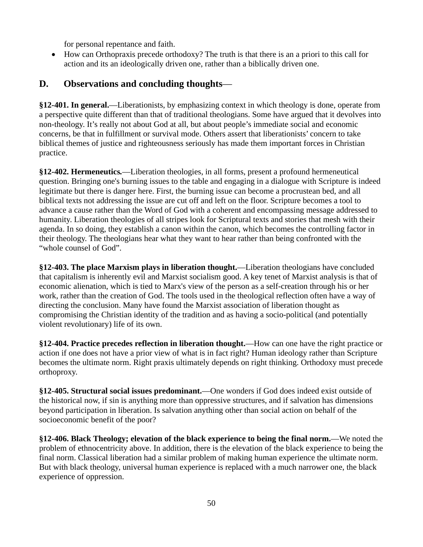for personal repentance and faith.

• How can Orthopraxis precede orthodoxy? The truth is that there is an a priori to this call for action and its an ideologically driven one, rather than a biblically driven one.

## **D. Observations and concluding thoughts**—

**§12-401. In general.**—Liberationists, by emphasizing context in which theology is done, operate from a perspective quite different than that of traditional theologians. Some have argued that it devolves into non-theology. It's really not about God at all, but about people's immediate social and economic concerns, be that in fulfillment or survival mode. Others assert that liberationists' concern to take biblical themes of justice and righteousness seriously has made them important forces in Christian practice.

**§12-402. Hermeneutics***.*—Liberation theologies, in all forms, present a profound hermeneutical question. Bringing one's burning issues to the table and engaging in a dialogue with Scripture is indeed legitimate but there is danger here. First, the burning issue can become a procrustean bed, and all biblical texts not addressing the issue are cut off and left on the floor. Scripture becomes a tool to advance a cause rather than the Word of God with a coherent and encompassing message addressed to humanity. Liberation theologies of all stripes look for Scriptural texts and stories that mesh with their agenda. In so doing, they establish a canon within the canon, which becomes the controlling factor in their theology. The theologians hear what they want to hear rather than being confronted with the "whole counsel of God".

**§12-403. The place Marxism plays in liberation thought.**—Liberation theologians have concluded that capitalism is inherently evil and Marxist socialism good. A key tenet of Marxist analysis is that of economic alienation, which is tied to Marx's view of the person as a self-creation through his or her work, rather than the creation of God. The tools used in the theological reflection often have a way of directing the conclusion. Many have found the Marxist association of liberation thought as compromising the Christian identity of the tradition and as having a socio-political (and potentially violent revolutionary) life of its own.

**§12-404. Practice precedes reflection in liberation thought.**—How can one have the right practice or action if one does not have a prior view of what is in fact right? Human ideology rather than Scripture becomes the ultimate norm. Right praxis ultimately depends on right thinking. Orthodoxy must precede orthoproxy.

**§12-405. Structural social issues predominant.**—One wonders if God does indeed exist outside of the historical now, if sin is anything more than oppressive structures, and if salvation has dimensions beyond participation in liberation. Is salvation anything other than social action on behalf of the socioeconomic benefit of the poor?

**§12-406. Black Theology; elevation of the black experience to being the final norm.**—We noted the problem of ethnocentricity above. In addition, there is the elevation of the black experience to being the final norm. Classical liberation had a similar problem of making human experience the ultimate norm. But with black theology, universal human experience is replaced with a much narrower one, the black experience of oppression.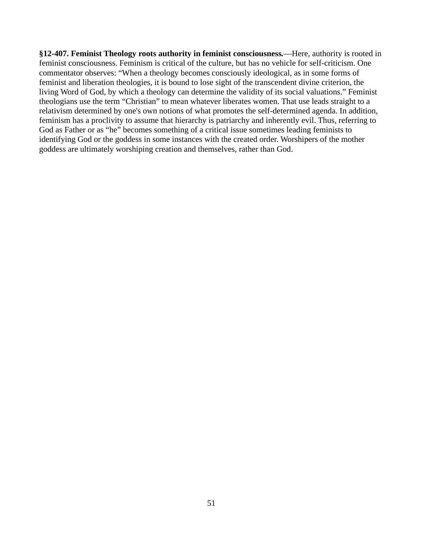**§12-407. Feminist Theology roots authority in feminist consciousness***.*—Here, authority is rooted in feminist consciousness. Feminism is critical of the culture, but has no vehicle for self-criticism. One commentator observes: "When a theology becomes consciously ideological, as in some forms of feminist and liberation theologies, it is bound to lose sight of the transcendent divine criterion, the living Word of God, by which a theology can determine the validity of its social valuations." Feminist theologians use the term "Christian" to mean whatever liberates women. That use leads straight to a relativism determined by one's own notions of what promotes the self-determined agenda. In addition, feminism has a proclivity to assume that hierarchy is patriarchy and inherently evil. Thus, referring to God as Father or as "he" becomes something of a critical issue sometimes leading feminists to identifying God or the goddess in some instances with the created order. Worshipers of the mother goddess are ultimately worshiping creation and themselves, rather than God.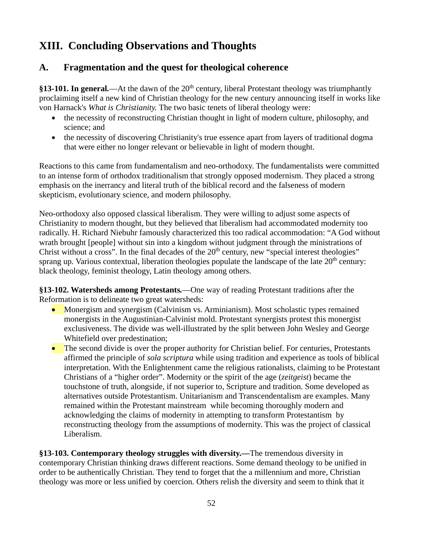## **XIII. Concluding Observations and Thoughts**

## **A. Fragmentation and the quest for theological coherence**

**§13-101. In general** —At the dawn of the 20<sup>th</sup> century, liberal Protestant theology was triumphantly proclaiming itself a new kind of Christian theology for the new century announcing itself in works like von Harnack's *What is Christianity.* The two basic tenets of liberal theology were:

- the necessity of reconstructing Christian thought in light of modern culture, philosophy, and science; and
- the necessity of discovering Christianity's true essence apart from layers of traditional dogma that were either no longer relevant or believable in light of modern thought.

Reactions to this came from fundamentalism and neo-orthodoxy. The fundamentalists were committed to an intense form of orthodox traditionalism that strongly opposed modernism. They placed a strong emphasis on the inerrancy and literal truth of the biblical record and the falseness of modern skepticism, evolutionary science, and modern philosophy.

Neo-orthodoxy also opposed classical liberalism. They were willing to adjust some aspects of Christianity to modern thought, but they believed that liberalism had accommodated modernity too radically. H. Richard Niebuhr famously characterized this too radical accommodation: "A God without wrath brought [people] without sin into a kingdom without judgment through the ministrations of Christ without a cross". In the final decades of the  $20<sup>th</sup>$  century, new "special interest theologies" sprang up. Various contextual, liberation theologies populate the landscape of the late 20<sup>th</sup> century: black theology, feminist theology, Latin theology among others.

**§13-102. Watersheds among Protestants***.*—One way of reading Protestant traditions after the Reformation is to delineate two great watersheds:

- Monergism and synergism (Calvinism vs. Arminianism). Most scholastic types remained monergists in the Augustinian-Calvinist mold. Protestant synergists protest this monergist exclusiveness. The divide was well-illustrated by the split between John Wesley and George Whitefield over predestination;
- The second divide is over the proper authority for Christian belief. For centuries, Protestants affirmed the principle of *sola scriptura* while using tradition and experience as tools of biblical interpretation. With the Enlightenment came the religious rationalists, claiming to be Protestant Christians of a "higher order". Modernity or the spirit of the age (*zeitgeist*) became the touchstone of truth, alongside, if not superior to, Scripture and tradition. Some developed as alternatives outside Protestantism. Unitarianism and Transcendentalism are examples. Many remained within the Protestant mainstream while becoming thoroughly modern and acknowledging the claims of modernity in attempting to transform Protestantism by reconstructing theology from the assumptions of modernity. This was the project of classical Liberalism.

**§13-103. Contemporary theology struggles with diversity.—**The tremendous diversity in contemporary Christian thinking draws different reactions. Some demand theology to be unified in order to be authentically Christian. They tend to forget that the a millennium and more, Christian theology was more or less unified by coercion. Others relish the diversity and seem to think that it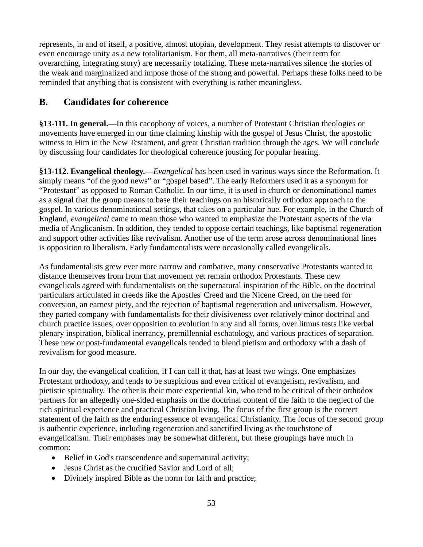represents, in and of itself, a positive, almost utopian, development. They resist attempts to discover or even encourage unity as a new totalitarianism. For them, all meta-narratives (their term for overarching, integrating story) are necessarily totalizing. These meta-narratives silence the stories of the weak and marginalized and impose those of the strong and powerful. Perhaps these folks need to be reminded that anything that is consistent with everything is rather meaningless.

## **B. Candidates for coherence**

**§13-111. In general.—**In this cacophony of voices, a number of Protestant Christian theologies or movements have emerged in our time claiming kinship with the gospel of Jesus Christ, the apostolic witness to Him in the New Testament, and great Christian tradition through the ages. We will conclude by discussing four candidates for theological coherence jousting for popular hearing.

**§13-112. Evangelical theology.—***Evangelical* has been used in various ways since the Reformation. It simply means "of the good news" or "gospel based". The early Reformers used it as a synonym for "Protestant" as opposed to Roman Catholic. In our time, it is used in church or denominational names as a signal that the group means to base their teachings on an historically orthodox approach to the gospel. In various denominational settings, that takes on a particular hue. For example, in the Church of England, *evangelical* came to mean those who wanted to emphasize the Protestant aspects of the via media of Anglicanism. In addition, they tended to oppose certain teachings, like baptismal regeneration and support other activities like revivalism. Another use of the term arose across denominational lines is opposition to liberalism. Early fundamentalists were occasionally called evangelicals.

As fundamentalists grew ever more narrow and combative, many conservative Protestants wanted to distance themselves from from that movement yet remain orthodox Protestants. These new evangelicals agreed with fundamentalists on the supernatural inspiration of the Bible, on the doctrinal particulars articulated in creeds like the Apostles' Creed and the Nicene Creed, on the need for conversion, an earnest piety, and the rejection of baptismal regeneration and universalism. However, they parted company with fundamentalists for their divisiveness over relatively minor doctrinal and church practice issues, over opposition to evolution in any and all forms, over litmus tests like verbal plenary inspiration, biblical inerrancy, premillennial eschatology, and various practices of separation. These new or post-fundamental evangelicals tended to blend pietism and orthodoxy with a dash of revivalism for good measure.

In our day, the evangelical coalition, if I can call it that, has at least two wings. One emphasizes Protestant orthodoxy, and tends to be suspicious and even critical of evangelism, revivalism, and pietistic spirituality. The other is their more experiential kin, who tend to be critical of their orthodox partners for an allegedly one-sided emphasis on the doctrinal content of the faith to the neglect of the rich spiritual experience and practical Christian living. The focus of the first group is the correct statement of the faith as the enduring essence of evangelical Christianity. The focus of the second group is authentic experience, including regeneration and sanctified living as the touchstone of evangelicalism. Their emphases may be somewhat different, but these groupings have much in common:

- Belief in God's transcendence and supernatural activity;
- Jesus Christ as the crucified Savior and Lord of all;
- Divinely inspired Bible as the norm for faith and practice;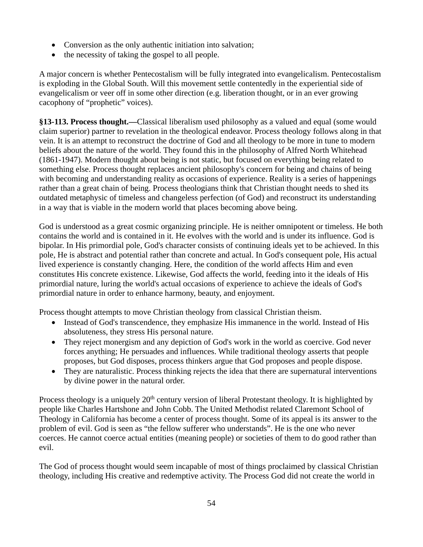- Conversion as the only authentic initiation into salvation;
- the necessity of taking the gospel to all people.

A major concern is whether Pentecostalism will be fully integrated into evangelicalism. Pentecostalism is exploding in the Global South. Will this movement settle contentedly in the experiential side of evangelicalism or veer off in some other direction (e.g. liberation thought, or in an ever growing cacophony of "prophetic" voices).

**§13-113. Process thought.—**Classical liberalism used philosophy as a valued and equal (some would claim superior) partner to revelation in the theological endeavor. Process theology follows along in that vein. It is an attempt to reconstruct the doctrine of God and all theology to be more in tune to modern beliefs about the nature of the world. They found this in the philosophy of Alfred North Whitehead (1861-1947). Modern thought about being is not static, but focused on everything being related to something else. Process thought replaces ancient philosophy's concern for being and chains of being with becoming and understanding reality as occasions of experience. Reality is a series of happenings rather than a great chain of being. Process theologians think that Christian thought needs to shed its outdated metaphysic of timeless and changeless perfection (of God) and reconstruct its understanding in a way that is viable in the modern world that places becoming above being.

God is understood as a great cosmic organizing principle. He is neither omnipotent or timeless. He both contains the world and is contained in it. He evolves with the world and is under its influence. God is bipolar. In His primordial pole, God's character consists of continuing ideals yet to be achieved. In this pole, He is abstract and potential rather than concrete and actual. In God's consequent pole, His actual lived experience is constantly changing. Here, the condition of the world affects Him and even constitutes His concrete existence. Likewise, God affects the world, feeding into it the ideals of His primordial nature, luring the world's actual occasions of experience to achieve the ideals of God's primordial nature in order to enhance harmony, beauty, and enjoyment.

Process thought attempts to move Christian theology from classical Christian theism.

- Instead of God's transcendence, they emphasize His immanence in the world. Instead of His absoluteness, they stress His personal nature.
- They reject monergism and any depiction of God's work in the world as coercive. God never forces anything; He persuades and influences. While traditional theology asserts that people proposes, but God disposes, process thinkers argue that God proposes and people dispose.
- They are naturalistic. Process thinking rejects the idea that there are supernatural interventions by divine power in the natural order.

Process theology is a uniquely  $20<sup>th</sup>$  century version of liberal Protestant theology. It is highlighted by people like Charles Hartshone and John Cobb. The United Methodist related Claremont School of Theology in California has become a center of process thought. Some of its appeal is its answer to the problem of evil. God is seen as "the fellow sufferer who understands". He is the one who never coerces. He cannot coerce actual entities (meaning people) or societies of them to do good rather than evil.

The God of process thought would seem incapable of most of things proclaimed by classical Christian theology, including His creative and redemptive activity. The Process God did not create the world in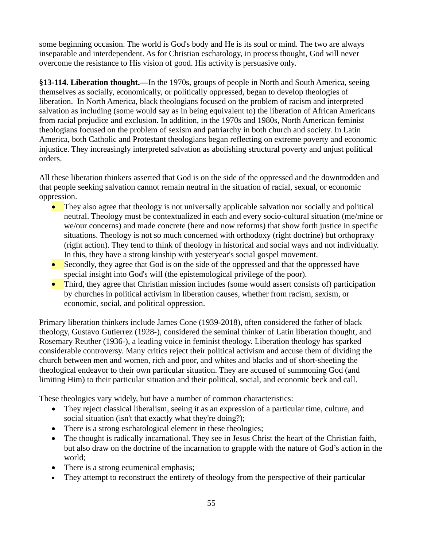some beginning occasion. The world is God's body and He is its soul or mind. The two are always inseparable and interdependent. As for Christian eschatology, in process thought, God will never overcome the resistance to His vision of good. His activity is persuasive only.

**§13-114. Liberation thought.—**In the 1970s, groups of people in North and South America, seeing themselves as socially, economically, or politically oppressed, began to develop theologies of liberation. In North America, black theologians focused on the problem of racism and interpreted salvation as including (some would say as in being equivalent to) the liberation of African Americans from racial prejudice and exclusion. In addition, in the 1970s and 1980s, North American feminist theologians focused on the problem of sexism and patriarchy in both church and society. In Latin America, both Catholic and Protestant theologians began reflecting on extreme poverty and economic injustice. They increasingly interpreted salvation as abolishing structural poverty and unjust political orders.

All these liberation thinkers asserted that God is on the side of the oppressed and the downtrodden and that people seeking salvation cannot remain neutral in the situation of racial, sexual, or economic oppression.

- They also agree that theology is not universally applicable salvation nor socially and political neutral. Theology must be contextualized in each and every socio-cultural situation (me/mine or we/our concerns) and made concrete (here and now reforms) that show forth justice in specific situations. Theology is not so much concerned with orthodoxy (right doctrine) but orthopraxy (right action). They tend to think of theology in historical and social ways and not individually. In this, they have a strong kinship with yesteryear's social gospel movement.
- Secondly, they agree that God is on the side of the oppressed and that the oppressed have special insight into God's will (the epistemological privilege of the poor).
- Third, they agree that Christian mission includes (some would assert consists of) participation by churches in political activism in liberation causes, whether from racism, sexism, or economic, social, and political oppression.

Primary liberation thinkers include James Cone (1939-2018), often considered the father of black theology, Gustavo Gutierrez (1928-), considered the seminal thinker of Latin liberation thought, and Rosemary Reuther (1936-), a leading voice in feminist theology. Liberation theology has sparked considerable controversy. Many critics reject their political activism and accuse them of dividing the church between men and women, rich and poor, and whites and blacks and of short-sheeting the theological endeavor to their own particular situation. They are accused of summoning God (and limiting Him) to their particular situation and their political, social, and economic beck and call.

These theologies vary widely, but have a number of common characteristics:

- They reject classical liberalism, seeing it as an expression of a particular time, culture, and social situation (isn't that exactly what they're doing?);
- There is a strong eschatological element in these theologies;
- The thought is radically incarnational. They see in Jesus Christ the heart of the Christian faith, but also draw on the doctrine of the incarnation to grapple with the nature of God's action in the world;
- There is a strong ecumenical emphasis;
- They attempt to reconstruct the entirety of theology from the perspective of their particular